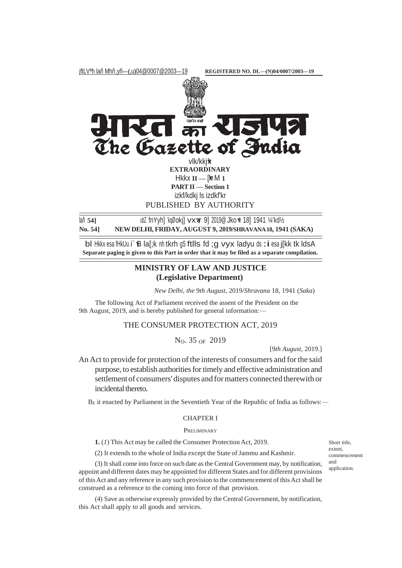

bl Hkkx esa fHkUu i` B la[;k nh tkrh gS ftlls fd ;g vyx ladyu ds : i esa j[kk tk ldsA **Separate paging is given to this Part in order that it may be filed as a separate compilation.**

# **MINISTRY OF LAW AND JUSTICE (Legislative Department)**

*New Delhi, the* 9*th August,* 2019/*Shravana* 18*,* 1941 (*Saka*)

The following Act of Parliament received the assent of the President on the 9th August, 2019, and is hereby published for general information:—

# THE CONSUMER PROTECTION ACT, 2019

NO. 35 OF 2019

[9*th August*, 2019.]

An Act to provide for protection of the interests of consumers and forthe said purpose, to establish authorities for timely and effective administration and settlement of consumers' disputes and for matters connected therewith or incidental thereto.

BE it enacted by Parliament in the Seventieth Year of the Republic of India as follows:-

### CHAPTER I

#### **PRELIMINARY**

**1.** (*1*) This Act may be called the Consumer Protection Act, 2019.

(2) It extends to the whole of India except the State of Jammu and Kashmir.

(3) Itshall come into force on such date asthe Central Government may, by notification, appoint and different dates may be appointed for different States and for different provisions of thisAct and any reference in any such provision to the commencement of thisActshall be construed as a reference to the coming into force of that provision.

(4) Save as otherwise expressly provided by the Central Government, by notification, this Act shall apply to all goods and services.

Short title, extent, commencement and application.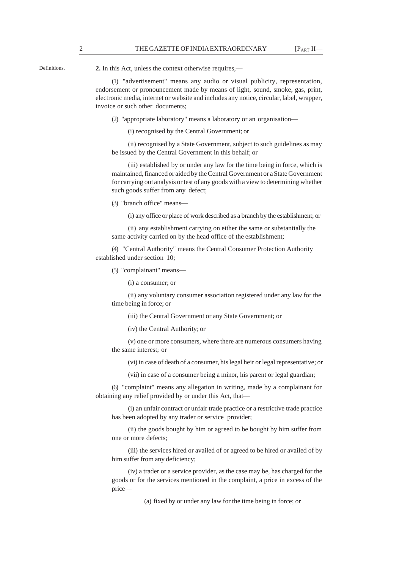Definitions. **2.** In this Act, unless the context otherwise requires,—

(1) "advertisement" means any audio or visual publicity, representation, endorsement or pronouncement made by means of light, sound, smoke, gas, print, electronic media, internet or website and includes any notice, circular, label, wrapper, invoice or such other documents;

(2) "appropriate laboratory" means a laboratory or an organisation—

(i) recognised by the Central Government; or

(ii) recognised by a State Government, subject to such guidelines as may be issued by the Central Government in this behalf; or

(iii) established by or under any law for the time being in force, which is maintained, financed or aided by the Central Government or a State Government for carrying out analysis or test of any goods with a view to determining whether such goods suffer from any defect;

(3) "branch office" means—

(i) any office or place of work described as a branch by the establishment; or

(ii) any establishment carrying on either the same or substantially the same activity carried on by the head office of the establishment;

(4) "Central Authority" means the Central Consumer Protection Authority established under section 10;

(5) "complainant" means—

(i) a consumer; or

(ii) any voluntary consumer association registered under any law for the time being in force; or

(iii) the Central Government or any State Government; or

(iv) the Central Authority; or

(v) one or more consumers, where there are numerous consumers having the same interest; or

(vi) in case of death of a consumer, hislegal heir or legal representative; or

(vii) in case of a consumer being a minor, his parent or legal guardian;

(6) "complaint" means any allegation in writing, made by a complainant for obtaining any relief provided by or under this Act, that—

(i) an unfair contract or unfair trade practice or a restrictive trade practice has been adopted by any trader or service provider;

(ii) the goods bought by him or agreed to be bought by him suffer from one or more defects;

(iii) the services hired or availed of or agreed to be hired or availed of by him suffer from any deficiency;

(iv) a trader or a service provider, as the case may be, has charged for the goods or for the services mentioned in the complaint, a price in excess of the price—

(a) fixed by or under any law for the time being in force; or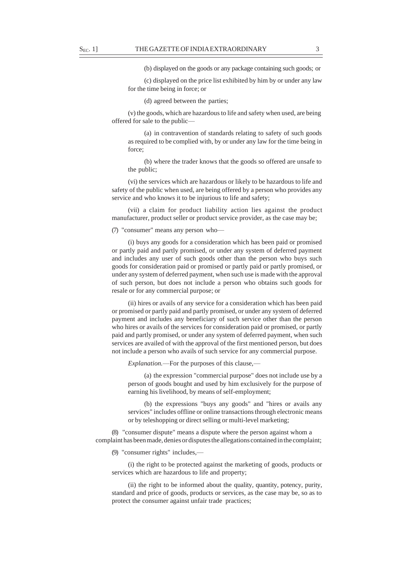(b) displayed on the goods or any package containing such goods; or

(c) displayed on the price list exhibited by him by or under any law for the time being in force; or

(d) agreed between the parties;

(v) the goods, which are hazardous to life and safety when used, are being offered for sale to the public—

(a) in contravention of standards relating to safety of such goods as required to be complied with, by or under any law for the time being in force;

(b) where the trader knows that the goods so offered are unsafe to the public;

(vi) the services which are hazardous or likely to be hazardous to life and safety of the public when used, are being offered by a person who provides any service and who knows it to be injurious to life and safety;

(vii) a claim for product liability action lies against the product manufacturer, product seller or product service provider, as the case may be;

(7) "consumer" means any person who—

(i) buys any goods for a consideration which has been paid or promised or partly paid and partly promised, or under any system of deferred payment and includes any user of such goods other than the person who buys such goods for consideration paid or promised or partly paid or partly promised, or under any system of deferred payment, when such use is made with the approval of such person, but does not include a person who obtains such goods for resale or for any commercial purpose; or

(ii) hires or avails of any service for a consideration which has been paid or promised or partly paid and partly promised, or under any system of deferred payment and includes any beneficiary of such service other than the person who hires or avails of the services for consideration paid or promised, or partly paid and partly promised, or under any system of deferred payment, when such services are availed of with the approval of the first mentioned person, but does not include a person who avails of such service for any commercial purpose.

*Explanation.*—For the purposes of this clause,—

(a) the expression "commercial purpose" does not include use by a person of goods bought and used by him exclusively for the purpose of earning his livelihood, by means of self-employment;

(b) the expressions "buys any goods" and "hires or avails any services" includes offline or online transactions through electronic means or by teleshopping or direct selling or multi-level marketing;

(8) "consumer dispute" means a dispute where the person against whom a complaint has been made, denies or disputes the allegations contained in the complaint;

(9) "consumer rights" includes,—

(i) the right to be protected against the marketing of goods, products or services which are hazardous to life and property;

(ii) the right to be informed about the quality, quantity, potency, purity, standard and price of goods, products or services, as the case may be, so as to protect the consumer against unfair trade practices;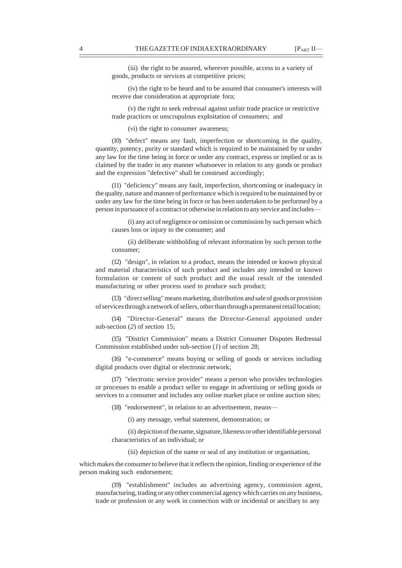(iii) the right to be assured, wherever possible, access to a variety of goods, products or services at competitive prices;

(iv) the right to be heard and to be assured that consumer's interests will receive due consideration at appropriate fora;

(v) the right to seek redressal against unfair trade practice or restrictive trade practices or unscrupulous exploitation of consumers; and

(vi) the right to consumer awareness;

(10) "defect" means any fault, imperfection or shortcoming in the quality, quantity, potency, purity or standard which is required to be maintained by or under any law for the time being in force or under any contract, express or implied or as is claimed by the trader in any manner whatsoever in relation to any goods or product and the expression "defective" shall be construed accordingly;

(11) "deficiency" means any fault, imperfection, shortcoming or inadequacy in the quality, nature and manner of performance which isrequired to be maintained by or under any law for the time being in force or has been undertaken to be performed by a person in pursuance of a contract or otherwise in relation to any service and includes—

(i) any act of negligence or omission or commission by such person which causes loss or injury to the consumer; and

(ii) deliberate withholding of relevant information by such person to the consumer;

(12) "design", in relation to a product, means the intended or known physical and material characteristics of such product and includes any intended or known formulation or content of such product and the usual result of the intended manufacturing or other process used to produce such product;

(13) "directselling"meansmarketing, distribution and sale ofgoodsorprovision of services through a network of sellers, other than through a permanent retail location;

(14) "Director-General" means the Director-General appointed under sub-section (*2*) of section 15;

(15) "District Commission" means a District Consumer Disputes Redressal Commission established under sub-section (*1*) of section 28;

(16) "e-commerce" means buying or selling of goods or services including digital products over digital or electronic network;

(17) "electronic service provider" means a person who provides technologies or processes to enable a product seller to engage in advertising or selling goods or services to a consumer and includes any online market place or online auction sites;

(18) "endorsement", in relation to an advertisement, means—

(i) any message, verbal statement, demonstration; or

(ii) depiction of the name, signature, likeness or other identifiable personal characteristics of an individual; or

(iii) depiction of the name or seal of any institution or organisation,

which makes the consumer to believe that it reflects the opinion, finding or experience of the person making such endorsement;

(19) "establishment" includes an advertising agency, commission agent, manufacturing, trading or any other commercial agency which carries on any business, trade or profession or any work in connection with or incidental or ancillary to any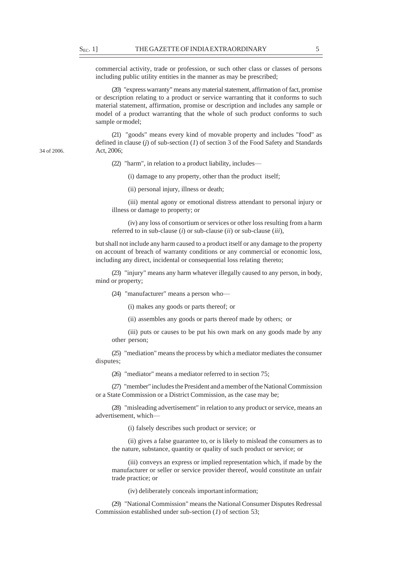commercial activity, trade or profession, or such other class or classes of persons including public utility entities in the manner as may be prescribed;

(20) "express warranty" means any material statement, affirmation of fact, promise or description relating to a product or service warranting that it conforms to such material statement, affirmation, promise or description and includes any sample or model of a product warranting that the whole of such product conforms to such sample ormodel;

(21) "goods" means every kind of movable property and includes "food" as defined in clause (*j*) of sub-section (*1*) of section 3 of the Food Safety and Standards Act, 2006;

(22) "harm", in relation to a product liability, includes—

(i) damage to any property, other than the product itself;

(ii) personal injury, illness or death;

(iii) mental agony or emotional distress attendant to personal injury or illness or damage to property; or

(iv) any loss of consortium or services or other loss resulting from a harm referred to in sub-clause (*i*) or sub-clause (*ii*) or sub-clause (*iii*),

butshall not include any harm caused to a product itself or any damage to the property on account of breach of warranty conditions or any commercial or economic loss, including any direct, incidental or consequential loss relating thereto;

(23) "injury" means any harm whatever illegally caused to any person, in body, mind or property;

(24) "manufacturer" means a person who—

(i) makes any goods or parts thereof; or

(ii) assembles any goods or parts thereof made by others; or

(iii) puts or causes to be put his own mark on any goods made by any other person;

 $(25)$  "mediation" means the process by which a mediator mediates the consumer disputes;

(26) "mediator" means a mediator referred to in section 75;

(27) "member" includes the President and a member of the National Commission or a State Commission or a District Commission, as the case may be;

(28) "misleading advertisement" in relation to any product or service, means an advertisement, which—

(i) falsely describes such product or service; or

(ii) gives a false guarantee to, or is likely to mislead the consumers as to the nature, substance, quantity or quality of such product or service; or

(iii) conveys an express or implied representation which, if made by the manufacturer or seller or service provider thereof, would constitute an unfair trade practice; or

(iv) deliberately conceals importantinformation;

(29) "National Commission" meansthe National Consumer Disputes Redressal Commission established under sub-section (*1*) of section 53;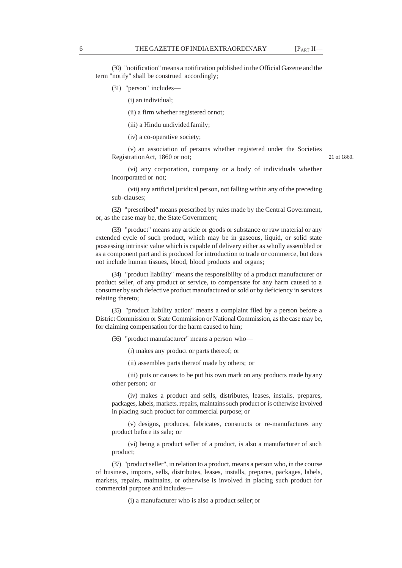(30) "notification" means a notification published in the Official Gazette and the term "notify" shall be construed accordingly;

(31) "person" includes—

(i) an individual;

(ii) a firm whether registered ornot;

(iii) a Hindu undivided family;

(iv) a co-operative society;

(v) an association of persons whether registered under the Societies RegistrationAct, 1860 or not;

21 of 1860.

(vi) any corporation, company or a body of individuals whether incorporated or not;

(vii) any artificial juridical person, not falling within any of the preceding sub-clauses;

(32) "prescribed" means prescribed by rules made by the Central Government, or, as the case may be, the State Government;

(33) "product" means any article or goods or substance or raw material or any extended cycle of such product, which may be in gaseous, liquid, or solid state possessing intrinsic value which is capable of delivery either as wholly assembled or as a component part and is produced for introduction to trade or commerce, but does not include human tissues, blood, blood products and organs;

(34) "product liability" means the responsibility of a product manufacturer or product seller, of any product or service, to compensate for any harm caused to a consumer by such defective product manufactured orsold or by deficiency in services relating thereto;

(35) "product liability action" means a complaint filed by a person before a District Commission or State Commission or National Commission, asthe case may be, for claiming compensation for the harm caused to him;

(36) "product manufacturer" means a person who—

(i) makes any product or parts thereof; or

(ii) assembles parts thereof made by others; or

(iii) puts or causes to be put his own mark on any products made byany other person; or

(iv) makes a product and sells, distributes, leases, installs, prepares, packages, labels, markets, repairs, maintains such product or is otherwise involved in placing such product for commercial purpose; or

(v) designs, produces, fabricates, constructs or re-manufactures any product before its sale; or

(vi) being a product seller of a product, is also a manufacturer of such product;

 $(37)$  "product seller", in relation to a product, means a person who, in the course of business, imports, sells, distributes, leases, installs, prepares, packages, labels, markets, repairs, maintains, or otherwise is involved in placing such product for commercial purpose and includes—

(i) a manufacturer who is also a product seller;or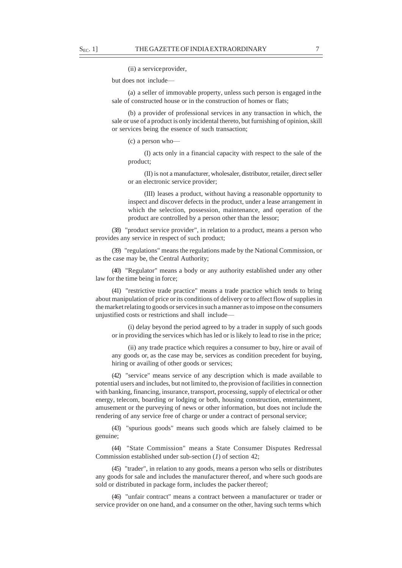(ii) a serviceprovider,

but does not include—

(a) a seller of immovable property, unless such person is engaged in the sale of constructed house or in the construction of homes or flats;

(b) a provider of professional services in any transaction in which, the sale or use of a product is only incidental thereto, but furnishing of opinion, skill or services being the essence of such transaction;

(c) a person who—

(I) acts only in a financial capacity with respect to the sale of the product;

(II) is not a manufacturer, wholesaler, distributor, retailer, direct seller or an electronic service provider;

(III) leases a product, without having a reasonable opportunity to inspect and discover defects in the product, under a lease arrangement in which the selection, possession, maintenance, and operation of the product are controlled by a person other than the lessor;

(38) "product service provider", in relation to a product, means a person who provides any service in respect of such product;

(39) "regulations" means the regulations made by the National Commission, or as the case may be, the Central Authority;

(40) "Regulator" means a body or any authority established under any other law for the time being in force;

(41) "restrictive trade practice" means a trade practice which tends to bring about manipulation of price or its conditions of delivery or to affect flow of supplies in themarketrelating to goods orservicesin such amanner asto impose on the consumers unjustified costs or restrictions and shall include—

(i) delay beyond the period agreed to by a trader in supply of such goods or in providing the services which has led or is likely to lead to rise in the price;

(ii) any trade practice which requires a consumer to buy, hire or avail of any goods or, as the case may be, services as condition precedent for buying, hiring or availing of other goods or services;

(42) "service" means service of any description which is made available to potential users and includes, but not limited to, the provision offacilitiesin connection with banking, financing, insurance, transport, processing, supply of electrical or other energy, telecom, boarding or lodging or both, housing construction, entertainment, amusement or the purveying of news or other information, but does not include the rendering of any service free of charge or under a contract of personal service;

(43) "spurious goods" means such goods which are falsely claimed to be genuine;

(44) "State Commission" means a State Consumer Disputes Redressal Commission established under sub-section (*1*) of section 42;

(45) "trader", in relation to any goods, means a person who sells or distributes any goods for sale and includes the manufacturer thereof, and where such goods are sold or distributed in package form, includes the packer thereof;

(46) "unfair contract" means a contract between a manufacturer or trader or service provider on one hand, and a consumer on the other, having such terms which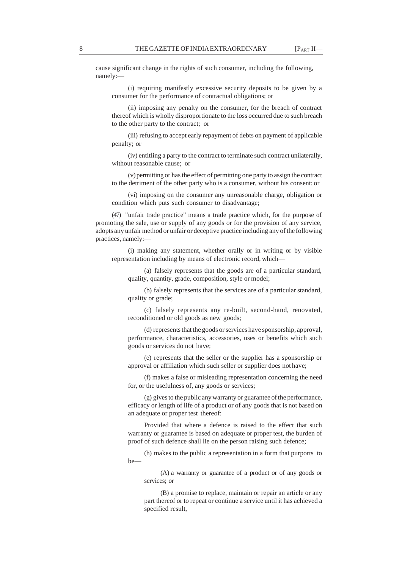cause significant change in the rights of such consumer, including the following, namely:—

(i) requiring manifestly excessive security deposits to be given by a consumer for the performance of contractual obligations; or

(ii) imposing any penalty on the consumer, for the breach of contract thereof which is wholly disproportionate to the loss occurred due to such breach to the other party to the contract; or

(iii) refusing to accept early repayment of debts on payment of applicable penalty; or

(iv) entitling a party to the contract to terminate such contract unilaterally, without reasonable cause; or

(v)permitting or hasthe effect of permitting one party to assign the contract to the detriment of the other party who is a consumer, without his consent; or

(vi) imposing on the consumer any unreasonable charge, obligation or condition which puts such consumer to disadvantage;

(47) "unfair trade practice" means a trade practice which, for the purpose of promoting the sale, use or supply of any goods or for the provision of any service, adopts any unfair method or unfair or deceptive practice including any of the following practices, namely:—

(i) making any statement, whether orally or in writing or by visible representation including by means of electronic record, which—

(a) falsely represents that the goods are of a particular standard, quality, quantity, grade, composition, style or model;

(b) falsely represents that the services are of a particular standard, quality or grade;

(c) falsely represents any re-built, second-hand, renovated, reconditioned or old goods as new goods;

(d) represents that the goods or services have sponsorship, approval, performance, characteristics, accessories, uses or benefits which such goods or services do not have;

(e) represents that the seller or the supplier has a sponsorship or approval or affiliation which such seller or supplier does not have;

(f) makes a false or misleading representation concerning the need for, or the usefulness of, any goods or services;

 $(g)$  gives to the public any warranty or guarantee of the performance, efficacy or length of life of a product or of any goods that is not based on an adequate or proper test thereof:

Provided that where a defence is raised to the effect that such warranty or guarantee is based on adequate or proper test, the burden of proof of such defence shall lie on the person raising such defence;

(h) makes to the public a representation in a form that purports to be—

(A) a warranty or guarantee of a product or of any goods or services; or

(B) a promise to replace, maintain or repair an article or any part thereof or to repeat or continue a service until it has achieved a specified result,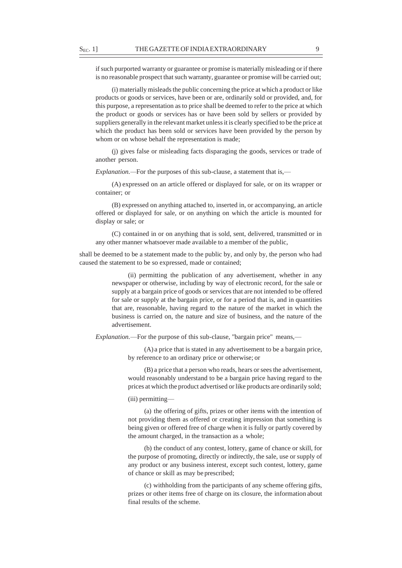if such purported warranty or guarantee or promise is materially misleading or if there is no reasonable prospect that such warranty, guarantee or promise will be carried out;

(i) materially misleadsthe public concerning the price at which a product or like products or goods or services, have been or are, ordinarily sold or provided, and, for this purpose, a representation as to price shall be deemed to refer to the price at which the product or goods or services has or have been sold by sellers or provided by suppliers generally in the relevant market unlessit is clearly specified to be the price at which the product has been sold or services have been provided by the person by whom or on whose behalf the representation is made;

(j) gives false or misleading facts disparaging the goods, services or trade of another person.

*Explanation.—*For the purposes of this sub-clause, a statement that is,—

(A) expressed on an article offered or displayed for sale, or on its wrapper or container; or

(B) expressed on anything attached to, inserted in, or accompanying, an article offered or displayed for sale, or on anything on which the article is mounted for display or sale; or

(C) contained in or on anything that is sold, sent, delivered, transmitted or in any other manner whatsoever made available to a member of the public,

shall be deemed to be a statement made to the public by, and only by, the person who had caused the statement to be so expressed, made or contained;

> (ii) permitting the publication of any advertisement, whether in any newspaper or otherwise, including by way of electronic record, for the sale or supply at a bargain price of goods or services that are not intended to be offered for sale or supply at the bargain price, or for a period that is, and in quantities that are, reasonable, having regard to the nature of the market in which the business is carried on, the nature and size of business, and the nature of the advertisement.

*Explanation.*—For the purpose of this sub-clause, "bargain price" means,—

(A) a price that is stated in any advertisement to be a bargain price, by reference to an ordinary price or otherwise; or

(B) a price that a person who reads, hears or seesthe advertisement, would reasonably understand to be a bargain price having regard to the prices at which the product advertised or like products are ordinarily sold;

(iii) permitting—

(a) the offering of gifts, prizes or other items with the intention of not providing them as offered or creating impression that something is being given or offered free of charge when it is fully or partly covered by the amount charged, in the transaction as a whole;

(b) the conduct of any contest, lottery, game of chance or skill, for the purpose of promoting, directly or indirectly, the sale, use or supply of any product or any business interest, except such contest, lottery, game of chance or skill as may be prescribed;

(c) withholding from the participants of any scheme offering gifts, prizes or other items free of charge on its closure, the information about final results of the scheme.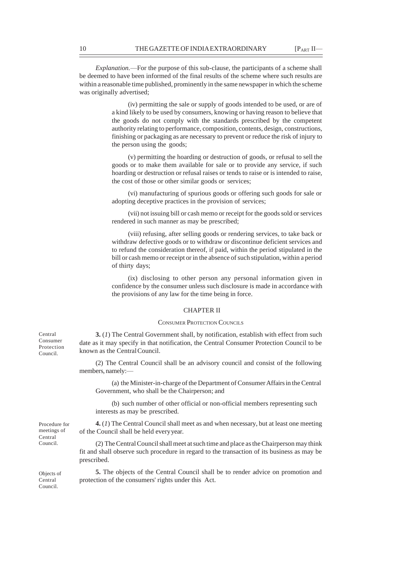*Explanation.*—For the purpose of this sub-clause, the participants of a scheme shall be deemed to have been informed of the final results of the scheme where such results are within a reasonable time published, prominently in the same newspaper in which the scheme was originally advertised;

> (iv) permitting the sale or supply of goods intended to be used, or are of a kind likely to be used by consumers, knowing or having reason to believe that the goods do not comply with the standards prescribed by the competent authority relating to performance, composition, contents, design, constructions, finishing or packaging as are necessary to prevent or reduce the risk of injury to the person using the goods;

> (v) permitting the hoarding or destruction of goods, or refusal to sell the goods or to make them available for sale or to provide any service, if such hoarding or destruction or refusal raises or tends to raise or is intended to raise, the cost of those or other similar goods or services;

> (vi) manufacturing of spurious goods or offering such goods for sale or adopting deceptive practices in the provision of services;

> (vii) not issuing bill or cash memo or receipt for the goods sold or services rendered in such manner as may be prescribed;

> (viii) refusing, after selling goods or rendering services, to take back or withdraw defective goods or to withdraw or discontinue deficient services and to refund the consideration thereof, if paid, within the period stipulated in the bill or cash memo or receipt or in the absence of such stipulation, within a period of thirty days;

> (ix) disclosing to other person any personal information given in confidence by the consumer unless such disclosure is made in accordance with the provisions of any law for the time being in force.

## CHAPTER II

## CONSUMER PROTECTION COUNCILS

**3.** (*1*) The Central Government shall, by notification, establish with effect from such date as it may specify in that notification, the Central Consumer Protection Council to be known as the CentralCouncil.

(2) The Central Council shall be an advisory council and consist of the following members, namely:—

(a) the Minister-in-charge of the Department of Consumer Affairs in the Central Government, who shall be the Chairperson; and

(b) such number of other official or non-official members representing such interests as may be prescribed.

**4.** (*1*) The Central Council shall meet as and when necessary, but at least one meeting of the Council shall be held everyyear.

(2) TheCentralCouncilshallmeet atsuch time and place astheChairperson may think fit and shall observe such procedure in regard to the transaction of its business as may be prescribed.

**5.** The objects of the Central Council shall be to render advice on promotion and protection of the consumers' rights under this Act.

Central Consumer Protection Council.

Procedure for meetings of Central Council.

Objects of Central Council.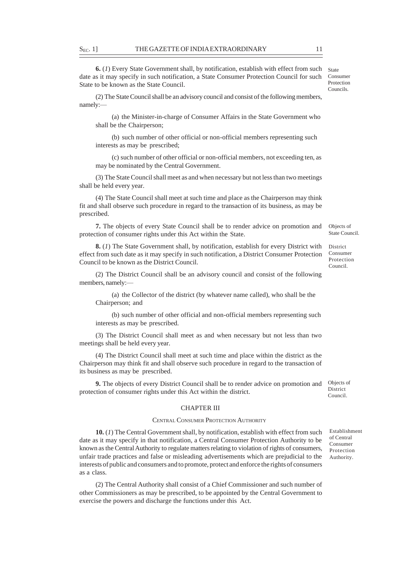**6.** (*1*) Every State Government shall, by notification, establish with effect from such date as it may specify in such notification, a State Consumer Protection Council for such State to be known as the State Council. State Consumer Protection Councils.

(2) The State Council shall be an advisory council and consist of the following members, namely:—

(a) the Minister-in-charge of Consumer Affairs in the State Government who shall be the Chairperson;

(b) such number of other official or non-official members representing such interests as may be prescribed;

(c) such number of other official or non-official members, not exceeding ten, as may be nominated by the Central Government.

(3) The State Council shall meet as and when necessary but not less than two meetings shall be held every year.

(4) The State Council shall meet at such time and place as the Chairperson may think fit and shall observe such procedure in regard to the transaction of its business, as may be prescribed.

**7.** The objects of every State Council shall be to render advice on promotion and protection of consumer rights under this Act within the State.

**8.** (*1*) The State Government shall, by notification, establish for every District with effect from such date as it may specify in such notification, a District Consumer Protection Council to be known as the District Council.

(2) The District Council shall be an advisory council and consist of the following members, namely:—

(a) the Collector of the district (by whatever name called), who shall be the Chairperson; and

(b) such number of other official and non-official members representing such interests as may be prescribed.

(3) The District Council shall meet as and when necessary but not less than two meetings shall be held every year.

(4) The District Council shall meet at such time and place within the district as the Chairperson may think fit and shall observe such procedure in regard to the transaction of its business as may be prescribed.

**9.** The objects of every District Council shall be to render advice on promotion and protection of consumer rights under this Act within the district.

## CHAPTER III

#### CENTRAL CONSUMER PROTECTION AUTHORITY

**10.** (*1*) The Central Government shall, by notification, establish with effect from such date as it may specify in that notification, a Central Consumer Protection Authority to be known as the Central Authority to regulate matters relating to violation of rights of consumers, unfair trade practices and false or misleading advertisements which are prejudicial to the interests of public and consumers and to promote, protect and enforce the rights of consumers as a class.

(2) The Central Authority shall consist of a Chief Commissioner and such number of other Commissioners as may be prescribed, to be appointed by the Central Government to exercise the powers and discharge the functions under this Act.

Establishment of Central Consumer Protection Authority.

Objects of District Council.

Objects of State Council.

District Consumer Protection Council.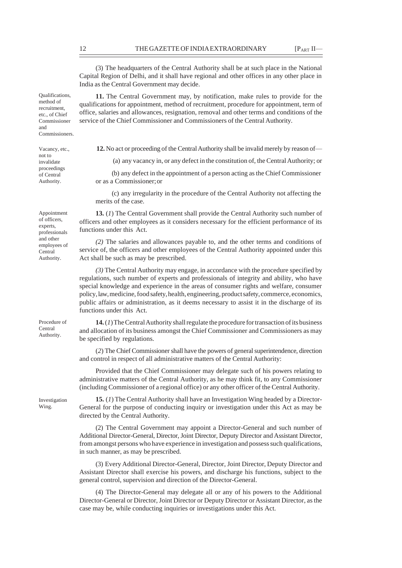(3) The headquarters of the Central Authority shall be at such place in the National Capital Region of Delhi, and it shall have regional and other offices in any other place in India as the Central Government may decide.

**11.** The Central Government may, by notification, make rules to provide for the qualifications for appointment, method of recruitment, procedure for appointment, term of office, salaries and allowances, resignation, removal and other terms and conditions of the service of the Chief Commissioner and Commissioners of the Central Authority.

Vacancy, etc., not to invalidate proceedings of Central

Authority.

Commissioners.

and

Qualifications, method of recruitment, etc., of Chief Commissioner

Appointment of officers, experts, professionals and other employees of Central Authority.

Procedure of Central Authority.

Investigation

Wing.

**12.** No act or proceeding of the Central Authority shall be invalid merely by reason of—

(a) any vacancy in, or any defect in the constitution of, the Central Authority; or

(b) any defect in the appointment of a person acting asthe Chief Commissioner or as a Commissioner;or

(c) any irregularity in the procedure of the Central Authority not affecting the merits of the case.

**13.** (*1*) The Central Government shall provide the Central Authority such number of officers and other employees as it considers necessary for the efficient performance of its functions under this Act.

*(2)* The salaries and allowances payable to, and the other terms and conditions of service of, the officers and other employees of the Central Authority appointed under this Act shall be such as may be prescribed.

*(3)* The Central Authority may engage, in accordance with the procedure specified by regulations, such number of experts and professionals of integrity and ability, who have special knowledge and experience in the areas of consumer rights and welfare, consumer policy, law, medicine, food safety, health, engineering, product safety, commerce, economics, public affairs or administration, as it deems necessary to assist it in the discharge of its functions under this Act.

14. (1) The Central Authority shall regulate the procedure for transaction of its business and allocation of its business amongst the Chief Commissioner and Commissioners as may be specified by regulations.

(2) The Chief Commissioner shall have the powers of general superintendence, direction and control in respect of all administrative matters of the Central Authority:

Provided that the Chief Commissioner may delegate such of his powers relating to administrative matters of the Central Authority, as he may think fit, to any Commissioner (including Commissioner of a regional office) or any other officer of the Central Authority.

**15.** (*1*) The Central Authority shall have an Investigation Wing headed by a Director-General for the purpose of conducting inquiry or investigation under this Act as may be directed by the Central Authority.

(2) The Central Government may appoint a Director-General and such number of Additional Director-General, Director, Joint Director, Deputy Director and Assistant Director, from amongst persons who have experience in investigation and possesssuch qualifications, in such manner, as may be prescribed.

(3) Every Additional Director-General, Director, Joint Director, Deputy Director and Assistant Director shall exercise his powers, and discharge his functions, subject to the general control, supervision and direction of the Director-General.

(4) The Director-General may delegate all or any of his powers to the Additional Director-General or Director, Joint Director or Deputy Director or Assistant Director, as the case may be, while conducting inquiries or investigations under this Act.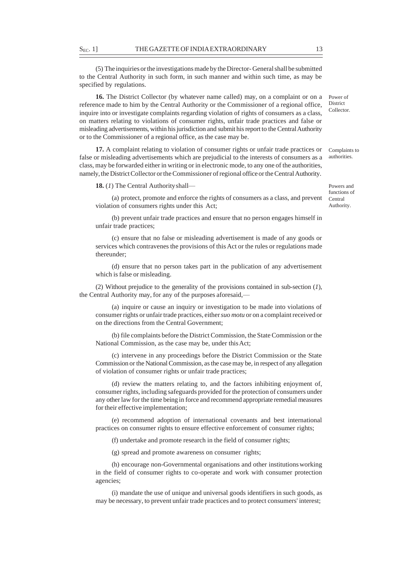(5) The inquiries orthe investigationsmade by theDirector-Generalshall be submitted to the Central Authority in such form, in such manner and within such time, as may be specified by regulations.

**16.** The District Collector (by whatever name called) may, on a complaint or on a reference made to him by the Central Authority or the Commissioner of a regional office, inquire into or investigate complaints regarding violation of rights of consumers as a class, on matters relating to violations of consumer rights, unfair trade practices and false or misleading advertisements, within his jurisdiction and submit his report to the Central Authority or to the Commissioner of a regional office, as the case may be.

**17.** A complaint relating to violation of consumer rights or unfair trade practices or false or misleading advertisements which are prejudicial to the interests of consumers as a class, may be forwarded eitherin writing or in electronic mode, to any one of the authorities, namely, the District Collector or the Commissioner of regional office or the Central Authority.

**18.** (*1*) The Central Authorityshall—

Powers and functions of Central Authority.

Complaints to authorities.

Power of **District** Collector.

(a) protect, promote and enforce the rights of consumers as a class, and prevent violation of consumers rights under this Act;

(b) prevent unfair trade practices and ensure that no person engages himself in unfair trade practices;

(c) ensure that no false or misleading advertisement is made of any goods or services which contravenes the provisions of this Act or the rules or regulations made thereunder;

(d) ensure that no person takes part in the publication of any advertisement which is false or misleading.

(2) Without prejudice to the generality of the provisions contained in sub-section (*1*), the Central Authority may, for any of the purposes aforesaid,—

(a) inquire or cause an inquiry or investigation to be made into violations of consumer rights or unfair trade practices, either *suo motu* or on a complaint received or on the directions from the Central Government;

(b) file complaints before the District Commission, the State Commission or the National Commission, as the case may be, under this Act;

(c) intervene in any proceedings before the District Commission or the State Commission or the National Commission, asthe case may be, in respect of any allegation of violation of consumer rights or unfair trade practices;

(d) review the matters relating to, and the factors inhibiting enjoyment of, consumer rights, including safeguards provided for the protection of consumers under any other law for the time being in force and recommend appropriate remedial measures for their effective implementation;

(e) recommend adoption of international covenants and best international practices on consumer rights to ensure effective enforcement of consumer rights;

(f) undertake and promote research in the field of consumer rights;

(g) spread and promote awareness on consumer rights;

(h) encourage non-Governmental organisations and other institutionsworking in the field of consumer rights to co-operate and work with consumer protection agencies;

(i) mandate the use of unique and universal goods identifiers in such goods, as may be necessary, to prevent unfair trade practices and to protect consumers' interest;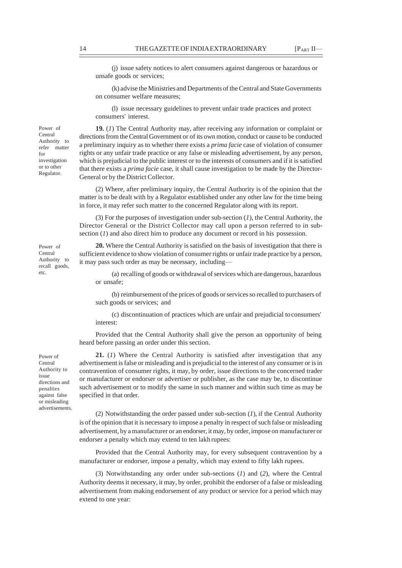(j) issue safety notices to alert consumers against dangerous or hazardous or unsafe goods or services;

(k) advise the Ministries and Departments of the Central and State Governments on consumer welfare measures;

(l) issue necessary guidelines to prevent unfair trade practices and protect consumers' interest.

**19.** (*1*) The Central Authority may, after receiving any information or complaint or directions from the Central Government or of its own motion, conduct or cause to be conducted a preliminary inquiry as to whether there exists a *prima facie* case of violation of consumer rights or any unfair trade practice or any false or misleading advertisement, by any person, which is prejudicial to the public interest or to the interests of consumers and if it is satisfied that there exists a *prima facie* case, it shall cause investigation to be made by the Director-General or by the District Collector.

(2) Where, after preliminary inquiry, the Central Authority is of the opinion that the matter is to be dealt with by a Regulator established under any other law for the time being in force, it may refer such matter to the concerned Regulator along with its report.

(3) For the purposes of investigation under sub-section (*1*), the Central Authority, the Director General or the District Collector may call upon a person referred to in subsection (*1*) and also direct him to produce any document or record in his possession.

**20.** Where the Central Authority is satisfied on the basis of investigation that there is sufficient evidence to show violation of consumer rights or unfair trade practice by a person, it may pass such order as may be necessary, including—

(a) recalling of goods or withdrawal of services which are dangerous, hazardous or unsafe;

(b) reimbursement of the prices of goods or services so recalled to purchasers of such goods or services; and

(c) discontinuation of practices which are unfair and prejudicial toconsumers' interest:

Provided that the Central Authority shall give the person an opportunity of being heard before passing an order under this section.

**21.** (*1*) Where the Central Authority is satisfied after investigation that any advertisement isfalse or misleading and is prejudicial to the interest of any consumer or isin contravention of consumer rights, it may, by order, issue directions to the concerned trader or manufacturer or endorser or advertiser or publisher, as the case may be, to discontinue such advertisement or to modify the same in such manner and within such time as may be specified in that order.

(2) Notwithstanding the order passed under sub-section (*1*), if the Central Authority is of the opinion that it is necessary to impose a penalty in respect of such false or misleading advertisement, by amanufacturer or an endorser, it may, by order, impose on manufacturer or endorser a penalty which may extend to ten lakh rupees:

Provided that the Central Authority may, for every subsequent contravention by a manufacturer or endorser, impose a penalty, which may extend to fifty lakh rupees.

(3) Notwithstanding any order under sub-sections (*1*) and (*2*), where the Central Authority deems it necessary, it may, by order, prohibit the endorser of a false or misleading advertisement from making endorsement of any product or service for a period which may extend to one year:

etc.

Power of Central Authority to issue directions and penalties against false or misleading advertisements.

recall goods,

Power of Central Authority to refer matter for investigation or to other Regulator.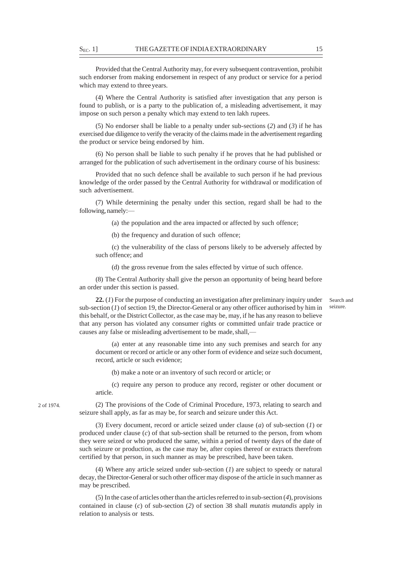Provided that the Central Authority may, for every subsequent contravention, prohibit such endorser from making endorsement in respect of any product or service for a period which may extend to three years.

(4) Where the Central Authority is satisfied after investigation that any person is found to publish, or is a party to the publication of, a misleading advertisement, it may impose on such person a penalty which may extend to ten lakh rupees.

(5) No endorser shall be liable to a penalty under sub-sections (*2*) and (*3*) if he has exercised due diligence to verify the veracity of the claimsmade in the advertisementregarding the product or service being endorsed by him.

(6) No person shall be liable to such penalty if he proves that he had published or arranged for the publication of such advertisement in the ordinary course of his business:

Provided that no such defence shall be available to such person if he had previous knowledge of the order passed by the Central Authority for withdrawal or modification of such advertisement.

(7) While determining the penalty under this section, regard shall be had to the following, namely:—

(a) the population and the area impacted or affected by such offence;

(b) the frequency and duration of such offence;

(c) the vulnerability of the class of persons likely to be adversely affected by such offence; and

(d) the gross revenue from the sales effected by virtue of such offence.

(8) The Central Authority shall give the person an opportunity of being heard before an order under this section is passed.

**22.** (*1*) For the purpose of conducting an investigation after preliminary inquiry under sub-section (*1*) of section 19, the Director-General or any other officer authorised by him in this behalf, or the District Collector, asthe case may be, may, if he has any reason to believe that any person has violated any consumer rights or committed unfair trade practice or causes any false or misleading advertisement to be made, shall,-

Search and seizure.

(a) enter at any reasonable time into any such premises and search for any document or record or article or any other form of evidence and seize such document, record, article or such evidence;

(b) make a note or an inventory of such record or article; or

(c) require any person to produce any record, register or other document or article.

2 of 1974.

(2) The provisions of the Code of Criminal Procedure, 1973, relating to search and seizure shall apply, as far as may be, for search and seizure under this Act.

(3) Every document, record or article seized under clause (*a*) of sub-section (*1*) or produced under clause (*c*) of that sub-section shall be returned to the person, from whom they were seized or who produced the same, within a period of twenty days of the date of such seizure or production, as the case may be, after copies thereof or extracts therefrom certified by that person, in such manner as may be prescribed, have been taken.

(4) Where any article seized under sub-section (*1*) are subject to speedy or natural decay, the Director-General or such other officer may dispose of the article in such manner as may be prescribed.

(5) In the case of articles other than the articles referred to in sub-section  $(4)$ , provisions contained in clause (*c*) of sub-section (*2*) of section 38 shall *mutatis mutandis* apply in relation to analysis or tests.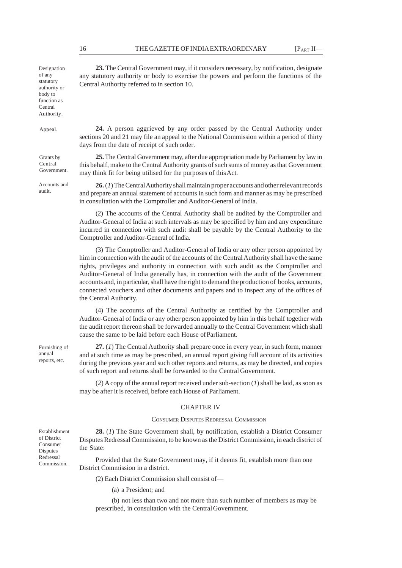**23.** The Central Government may, if it considers necessary, by notification, designate any statutory authority or body to exercise the powers and perform the functions of the

Designation of any statutory authority or body to function as Central Authority.

Appeal.

Grants by Central Government.

Accounts and audit.

**24.** A person aggrieved by any order passed by the Central Authority under sections 20 and 21 may file an appeal to the National Commission within a period of thirty days from the date of receipt of such order.

**25.**The Central Government may, after due appropriation made by Parliament by law in this behalf, make to the Central Authority grants of such sums of money as that Government may think fit for being utilised for the purposes of thisAct.

26. (1) The Central Authority shall maintain proper accounts and other relevant records and prepare an annual statement of accounts in such form and manner as may be prescribed in consultation with the Comptroller and Auditor-General of India.

(2) The accounts of the Central Authority shall be audited by the Comptroller and Auditor-General of India at such intervals as may be specified by him and any expenditure incurred in connection with such audit shall be payable by the Central Authority to the Comptroller and Auditor-General of India.

(3) The Comptroller and Auditor-General of India or any other person appointed by him in connection with the audit of the accounts of the Central Authority shall have the same rights, privileges and authority in connection with such audit as the Comptroller and Auditor-General of India generally has, in connection with the audit of the Government accounts and, in particular, shall have the right to demand the production of books, accounts, connected vouchers and other documents and papers and to inspect any of the offices of the Central Authority.

(4) The accounts of the Central Authority as certified by the Comptroller and Auditor-General of India or any other person appointed by him in this behalf together with the audit report thereon shall be forwarded annually to the Central Government which shall cause the same to be laid before each House ofParliament.

**27.** (*1*) The Central Authority shall prepare once in every year, in such form, manner and at such time as may be prescribed, an annual report giving full account of its activities during the previous year and such other reports and returns, as may be directed, and copies of such report and returns shall be forwarded to the Central Government.

(2) A copy of the annual report received under sub-section  $(I)$  shall be laid, as soon as may be after it is received, before each House of Parliament.

## CHAPTER IV

#### CONSUMER DISPUTES REDRESSAL COMMISSION

**28.** (*1*) The State Government shall, by notification, establish a District Consumer Disputes Redressal Commission, to be known asthe District Commission, in each district of the State:

Provided that the State Government may, if it deems fit, establish more than one District Commission in a district.

(2) Each District Commission shall consist of—

(a) a President; and

(b) not less than two and not more than such number of members as may be prescribed, in consultation with the CentralGovernment.

annual reports, etc.

Establishment of District Consumer **Disputes** Redressal Commission.

Furnishing of

Central Authority referred to in section 10.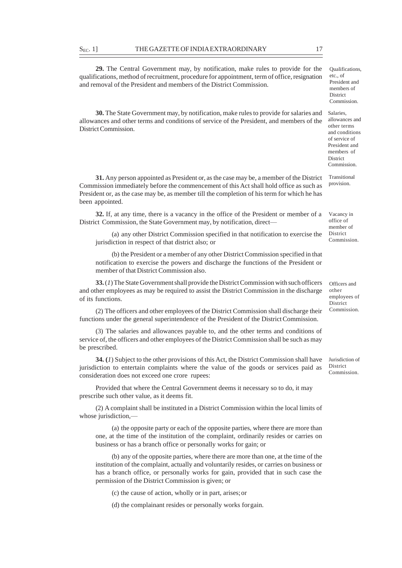**29.** The Central Government may, by notification, make rules to provide for the qualifications, method of recruitment, procedure for appointment, term of office, resignation and removal of the President and members of the District Commission.

**30.** The State Government may, by notification, make rules to provide for salaries and allowances and other terms and conditions of service of the President, and members of the District Commission.

**31.** Any person appointed as President or, asthe case may be, a member of the District Commission immediately before the commencement of thisAct shall hold office as such as President or, as the case may be, as member till the completion of his term for which he has been appointed.

**32.** If, at any time, there is a vacancy in the office of the President or member of a District Commission, the State Government may, by notification, direct—

(a) any other District Commission specified in that notification to exercise the jurisdiction in respect of that district also; or

(b) the President or a member of any other District Commission specified in that notification to exercise the powers and discharge the functions of the President or member of that District Commission also.

**33.**(*1*)The State Governmentshall provide theDistrictCommission with such officers and other employees as may be required to assist the District Commission in the discharge of its functions. Officers and other

(2) The officers and other employees of the District Commission shall discharge their functions under the general superintendence of the President of the DistrictCommission.

(3) The salaries and allowances payable to, and the other terms and conditions of service of, the officers and other employees of the District Commission shall be such as may be prescribed.

**34. (***1*) Subject to the other provisions of this Act, the District Commission shall have jurisdiction to entertain complaints where the value of the goods or services paid as consideration does not exceed one crore rupees:

Provided that where the Central Government deems it necessary so to do, it may prescribe such other value, as it deems fit.

(2) A complaint shall be instituted in a District Commission within the local limits of whose jurisdiction,-

(a) the opposite party or each of the opposite parties, where there are more than one, at the time of the institution of the complaint, ordinarily resides or carries on business or has a branch office or personally works for gain; or

(b) any of the opposite parties, where there are more than one, at the time of the institution of the complaint, actually and voluntarily resides, or carries on business or has a branch office, or personally works for gain, provided that in such case the permission of the District Commission is given; or

(c) the cause of action, wholly or in part, arises;or

(d) the complainant resides or personally works forgain.

Jurisdiction of District Commission.

Commission. Salaries, allowances and other terms and conditions of service of President and members of

Qualifications, etc., of President and members of District

Transitional provision.

Vacancy in office of member of District Commission.

**District** Commission.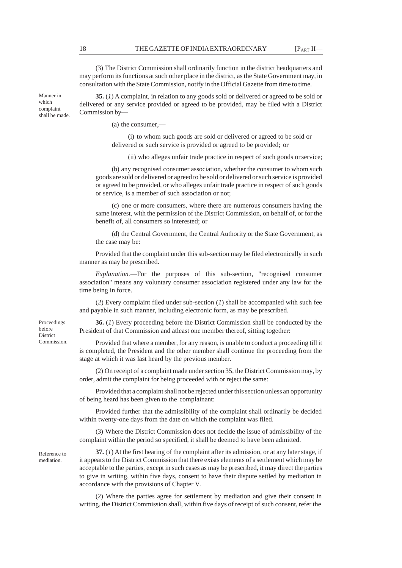(3) The District Commission shall ordinarily function in the district headquarters and may perform its functions at such other place in the district, as the State Government may, in consultation with the State Commission, notify in the Official Gazette from time to time.

**35.** (*1*) A complaint, in relation to any goods sold or delivered or agreed to be sold or delivered or any service provided or agreed to be provided, may be filed with a District Commission by—

(a) the consumer,—

(i) to whom such goods are sold or delivered or agreed to be sold or delivered or such service is provided or agreed to be provided; or

(ii) who alleges unfair trade practice in respect of such goods orservice;

(b) any recognised consumer association, whether the consumer to whom such goods are sold or delivered or agreed to be sold or delivered orsuch service is provided or agreed to be provided, or who alleges unfair trade practice in respect of such goods or service, is a member of such association or not;

(c) one or more consumers, where there are numerous consumers having the same interest, with the permission of the District Commission, on behalf of, or for the benefit of, all consumers so interested; or

(d) the Central Government, the Central Authority or the State Government, as the case may be:

Provided that the complaint under this sub-section may be filed electronically in such manner as may be prescribed.

*Explanation.*—For the purposes of this sub-section, "recognised consumer association" means any voluntary consumer association registered under any law for the time being in force.

(*2*) Every complaint filed under sub-section (*1*) shall be accompanied with such fee and payable in such manner, including electronic form, as may be prescribed.

**36.** (*1*) Every proceeding before the District Commission shall be conducted by the President of that Commission and atleast one member thereof, sitting together:

Provided that where a member, for any reason, is unable to conduct a proceeding till it is completed, the President and the other member shall continue the proceeding from the stage at which it was last heard by the previous member.

(2) On receipt of a complaint made under section 35, the District Commission may, by order, admit the complaint for being proceeded with or reject the same:

Provided that a complaint shall not be rejected under this section unless an opportunity of being heard has been given to the complainant:

Provided further that the admissibility of the complaint shall ordinarily be decided within twenty-one days from the date on which the complaint was filed.

(3) Where the District Commission does not decide the issue of admissibility of the complaint within the period so specified, it shall be deemed to have been admitted.

**37.** (*1*) At the first hearing of the complaint after its admission, or at any later stage, if it appears to the District Commission that there exists elements of a settlement which may be acceptable to the parties, except in such cases as may be prescribed, it may direct the parties to give in writing, within five days, consent to have their dispute settled by mediation in accordance with the provisions of Chapter V.

(2) Where the parties agree for settlement by mediation and give their consent in writing, the District Commission shall, within five days of receipt of such consent, refer the

Proceedings before District Commission.

Reference to mediation.

Manner in which complaint shall be made.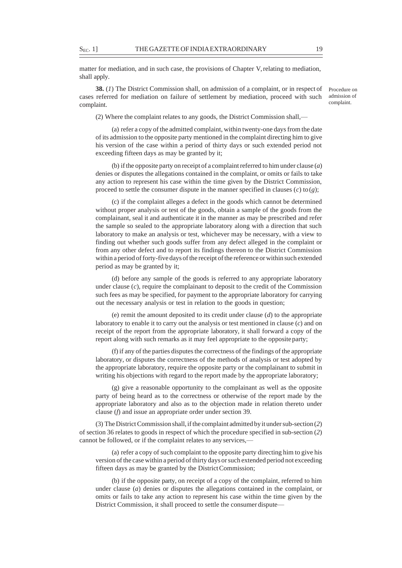matter for mediation, and in such case, the provisions of Chapter V, relating to mediation, shall apply.

**38.** (*1*) The District Commission shall, on admission of a complaint, or in respect of cases referred for mediation on failure of settlement by mediation, proceed with such complaint.

Procedure on admission of complaint.

(2) Where the complaint relates to any goods, the District Commission shall,—

(a) refer a copy of the admitted complaint, within twenty-one daysfrom the date of its admission to the opposite party mentioned in the complaint directing him to give his version of the case within a period of thirty days or such extended period not exceeding fifteen days as may be granted by it;

(b) if the opposite party on receipt of a complaint referred to him under clause  $(a)$ denies or disputes the allegations contained in the complaint, or omits or fails to take any action to represent his case within the time given by the District Commission, proceed to settle the consumer dispute in the manner specified in clauses  $(c)$  to $(g)$ ;

(c) if the complaint alleges a defect in the goods which cannot be determined without proper analysis or test of the goods, obtain a sample of the goods from the complainant, seal it and authenticate it in the manner as may be prescribed and refer the sample so sealed to the appropriate laboratory along with a direction that such laboratory to make an analysis or test, whichever may be necessary, with a view to finding out whether such goods suffer from any defect alleged in the complaint or from any other defect and to report its findings thereon to the District Commission within a period of forty-five days of the receipt of the reference or within such extended period as may be granted by it;

(d) before any sample of the goods is referred to any appropriate laboratory under clause (*c*), require the complainant to deposit to the credit of the Commission such fees as may be specified, for payment to the appropriate laboratory for carrying out the necessary analysis or test in relation to the goods in question;

(e) remit the amount deposited to its credit under clause (*d*) to the appropriate laboratory to enable it to carry out the analysis or test mentioned in clause (*c*) and on receipt of the report from the appropriate laboratory, it shall forward a copy of the report along with such remarks as it may feel appropriate to the opposite party;

 $(f)$  if any of the parties disputes the correctness of the findings of the appropriate laboratory, or disputes the correctness of the methods of analysis or test adopted by the appropriate laboratory, require the opposite party or the complainant to submit in writing his objections with regard to the report made by the appropriate laboratory;

(g) give a reasonable opportunity to the complainant as well as the opposite party of being heard as to the correctness or otherwise of the report made by the appropriate laboratory and also as to the objection made in relation thereto under clause (*f*) and issue an appropriate order under section 39.

(3) TheDistrictCommission shall,ifthe complaint admitted by it undersub-section (*2*) of section 36 relates to goods in respect of which the procedure specified in sub-section (*2*) cannot be followed, or if the complaint relates to any services,—

(a) refer a copy of such complaint to the opposite party directing him to give his version of the case within a period of thirty days or such extended period not exceeding fifteen days as may be granted by the District Commission;

(b) if the opposite party, on receipt of a copy of the complaint, referred to him under clause (*a*) denies or disputes the allegations contained in the complaint, or omits or fails to take any action to represent his case within the time given by the District Commission, it shall proceed to settle the consumer dispute—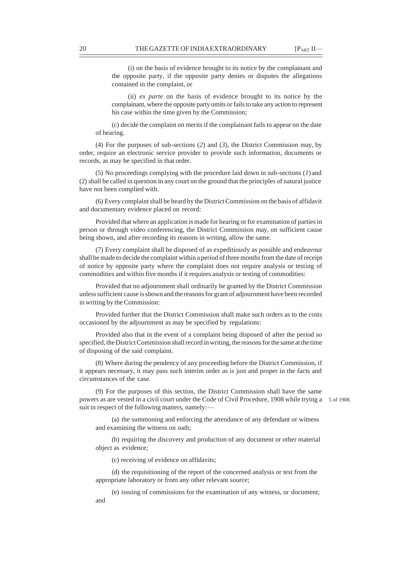(i) on the basis of evidence brought to its notice by the complainant and the opposite party, if the opposite party denies or disputes the allegations contained in the complaint, or

(ii) *ex parte* on the basis of evidence brought to its notice by the complainant, where the opposite party omits or fails to take any action to represent his case within the time given by the Commission;

(c) decide the complaint on merits if the complainant fails to appear on the date of hearing.

(4) For the purposes of sub-sections (*2*) and (*3*), the District Commission may, by order, require an electronic service provider to provide such information, documents or records, as may be specified in that order.

(5) No proceedings complying with the procedure laid down in sub-sections (*1*) and (2) shall be called in question in any court on the ground that the principles of natural justice have not been complied with.

(6) Every complaintshall be heard by the DistrictCommission on the basis of affidavit and documentary evidence placed on record:

Provided that where an application is made for hearing or for examination of partiesin person or through video conferencing, the District Commission may, on sufficient cause being shown, and after recording its reasons in writing, allow the same.

(7) Every complaint shall be disposed of as expeditiously as possible and endeavour shall be made to decide the complaint within a period of three months from the date of receipt of notice by opposite party where the complaint does not require analysis or testing of commodities and within five months if it requires analysis or testing of commodities:

Provided that no adjournment shall ordinarily be granted by the District Commission unlesssufficient cause isshown and the reasonsfor grant of adjournment have been recorded in writing by the Commission:

Provided further that the District Commission shall make such orders as to the costs occasioned by the adjournment as may be specified by regulations:

Provided also that in the event of a complaint being disposed of after the period so specified, the District Commission shall record in writing, the reasons for the same at the time of disposing of the said complaint.

(8) Where during the pendency of any proceeding before the District Commission, if it appears necessary, it may pass such interim order as is just and proper in the facts and circumstances of the case.

(9) For the purposes of this section, the District Commission shall have the same powers as are vested in a civil court under the Code of Civil Procedure, 1908 while trying a 5 of 1908. suit in respect of the following matters, namely:-

(a) the summoning and enforcing the attendance of any defendant or witness and examining the witness on oath;

(b) requiring the discovery and production of any document or other material object as evidence;

(c) receiving of evidence on affidavits;

(d) the requisitioning of the report of the concerned analysis or test from the appropriate laboratory or from any other relevant source;

(e) issuing of commissions for the examination of any witness, or document; and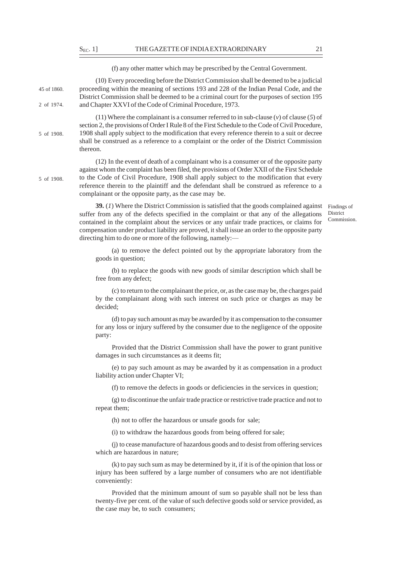5 of 1908.

5 of 1908.

(f) any other matter which may be prescribed by the Central Government.

45 of 1860. 2 of 1974. (10) Every proceeding before the District Commission shall be deemed to be a judicial proceeding within the meaning of sections 193 and 228 of the Indian Penal Code, and the District Commission shall be deemed to be a criminal court for the purposes of section 195 and Chapter XXVI of theCode of Criminal Procedure, 1973.

> (11) Where the complainant is a consumer referred to in sub-clause  $(v)$  of clause  $(5)$  of section 2, the provisions of Order I Rule 8 of the First Schedule to the Code of Civil Procedure, 1908 shall apply subject to the modification that every reference therein to a suit or decree shall be construed as a reference to a complaint or the order of the District Commission thereon.

(12) In the event of death of a complainant who is a consumer or of the opposite party against whom the complaint has been filed, the provisions of Order XXII of the First Schedule to the Code of Civil Procedure, 1908 shall apply subject to the modification that every reference therein to the plaintiff and the defendant shall be construed as reference to a complainant or the opposite party, as the case may be.

**39.** (1) Where the District Commission is satisfied that the goods complained against Findings of suffer from any of the defects specified in the complaint or that any of the allegations contained in the complaint about the services or any unfair trade practices, or claims for compensation under product liability are proved, it shall issue an order to the opposite party directing him to do one or more of the following, namely:—

District Commission.

(a) to remove the defect pointed out by the appropriate laboratory from the goods in question;

(b) to replace the goods with new goods of similar description which shall be free from any defect;

(c) to return to the complainant the price, or, asthe case may be, the charges paid by the complainant along with such interest on such price or charges as may be decided;

(d) to pay such amount asmay be awarded by it as compensation to the consumer for any loss or injury suffered by the consumer due to the negligence of the opposite party:

Provided that the District Commission shall have the power to grant punitive damages in such circumstances as it deems fit;

(e) to pay such amount as may be awarded by it as compensation in a product liability action under Chapter VI;

(f) to remove the defects in goods or deficiencies in the services in question;

(g) to discontinue the unfair trade practice or restrictive trade practice and not to repeat them;

(h) not to offer the hazardous or unsafe goods for sale;

(i) to withdraw the hazardous goods from being offered forsale;

(j) to cease manufacture of hazardous goods and to desist from offering services which are hazardous in nature;

(k) to pay such sum as may be determined by it, if it is of the opinion that loss or injury has been suffered by a large number of consumers who are not identifiable conveniently:

Provided that the minimum amount of sum so payable shall not be less than twenty-five per cent. of the value of such defective goods sold or service provided, as the case may be, to such consumers;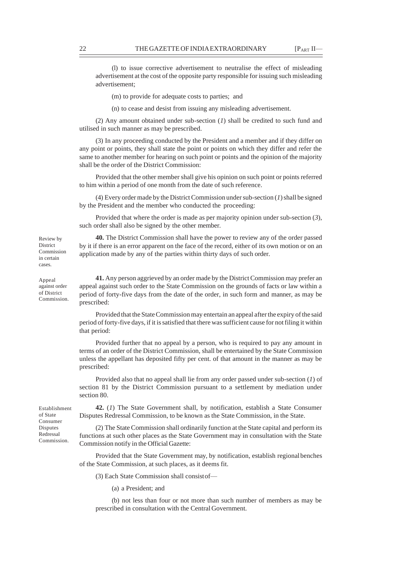(l) to issue corrective advertisement to neutralise the effect of misleading advertisement at the cost of the opposite party responsible for issuing such misleading advertisement;

(m) to provide for adequate costs to parties; and

(n) to cease and desist from issuing any misleading advertisement.

(2) Any amount obtained under sub-section (*1*) shall be credited to such fund and utilised in such manner as may be prescribed.

(3) In any proceeding conducted by the President and a member and if they differ on any point or points, they shall state the point or points on which they differ and refer the same to another member for hearing on such point or points and the opinion of the majority shall be the order of the District Commission:

Provided that the other member shall give his opinion on such point or pointsreferred to him within a period of one month from the date of such reference.

(4) Every order made by the District Commission under sub-section  $(I)$  shall be signed by the President and the member who conducted the proceeding:

Provided that where the order is made as per majority opinion under sub-section (*3*), such order shall also be signed by the other member.

**40.** The District Commission shall have the power to review any of the order passed by it if there is an error apparent on the face of the record, either of its own motion or on an application made by any of the parties within thirty days of such order.

against order of District **Commission 41.** Any person aggrieved by an order made by the District Commission may prefer an appeal against such order to the State Commission on the grounds of facts or law within a period of forty-five days from the date of the order, in such form and manner, as may be prescribed:

> Provided that the State Commission may entertain an appeal after the expiry of the said period of forty-five days, if it is satisfied that there was sufficient cause for not filing it within that period:

> Provided further that no appeal by a person, who is required to pay any amount in terms of an order of the District Commission, shall be entertained by the State Commission unless the appellant has deposited fifty per cent. of that amount in the manner as may be prescribed:

> Provided also that no appeal shall lie from any order passed under sub-section (*1*) of section 81 by the District Commission pursuant to a settlement by mediation under section 80.

> **42.** (*1*) The State Government shall, by notification, establish a State Consumer Disputes Redressal Commission, to be known as the State Commission, in the State.

> (2) The State Commission shall ordinarily function at the State capital and perform its functions at such other places as the State Government may in consultation with the State Commission notify in the OfficialGazette:

> Provided that the State Government may, by notification, establish regionalbenches of the State Commission, at such places, as it deems fit.

(3) Each State Commission shall consistof—

(a) a President; and

(b) not less than four or not more than such number of members as may be prescribed in consultation with the Central Government.

Establishment of State Consumer Disputes Redressal Commission.

Review by District Commission in certain cases.

Appeal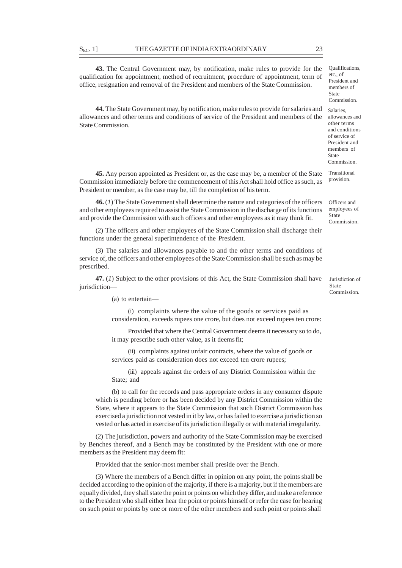**43.** The Central Government may, by notification, make rules to provide for the qualification for appointment, method of recruitment, procedure of appointment, term of office, resignation and removal of the President and members of the State Commission.

**44.** The State Government may, by notification, make rulesto provide for salaries and allowances and other terms and conditions of service of the President and members of the State Commission.

**45.** Any person appointed as President or, as the case may be, a member of the State Commission immediately before the commencement of this Act shall hold office as such, as President or member, as the case may be, till the completion of his term.

**46.** (1) The State Government shall determine the nature and categories of the officers and other employees required to assist the State Commission in the discharge of its functions and provide the Commission with such officers and other employees as it may think fit.

(2) The officers and other employees of the State Commission shall discharge their functions under the general superintendence of the President.

(3) The salaries and allowances payable to and the other terms and conditions of service of, the officers and other employees of the State Commission shall be such as may be prescribed.

**47.** (*1*) Subject to the other provisions of this Act, the State Commission shall have jurisdiction-

(a) to entertain—

(i) complaints where the value of the goods or services paid as consideration, exceeds rupees one crore, but does not exceed rupees ten crore:

Provided that where the Central Government deemsit necessary so to do, it may prescribe such other value, as it deemsfit;

(ii) complaints against unfair contracts, where the value of goods or services paid as consideration does not exceed ten crore rupees;

(iii) appeals against the orders of any District Commission within the State; and

(b) to call for the records and pass appropriate orders in any consumer dispute which is pending before or has been decided by any District Commission within the State, where it appears to the State Commission that such District Commission has exercised a jurisdiction not vested in it by law, or has failed to exercise a jurisdiction so vested or has acted in exercise of itsjurisdiction illegally or with material irregularity.

(2) The jurisdiction, powers and authority of the State Commission may be exercised by Benches thereof, and a Bench may be constituted by the President with one or more members asthe President may deem fit:

Provided that the senior-most member shall preside over the Bench.

(3) Where the members of a Bench differ in opinion on any point, the points shall be decided according to the opinion of the majority, if there is a majority, but if the members are equally divided, they shallstate the point or points on which they differ, and make a reference to the President who shall either hear the point or points himself or refer the case for hearing on such point or points by one or more of the other members and such point or points shall

Jurisdiction of State Commission.

members of State Commission. Transitional provision.

Officers and employees of State Commission.

Qualifications, etc., of President and members of State Commission. Salaries, allowances and other terms and conditions of service of President and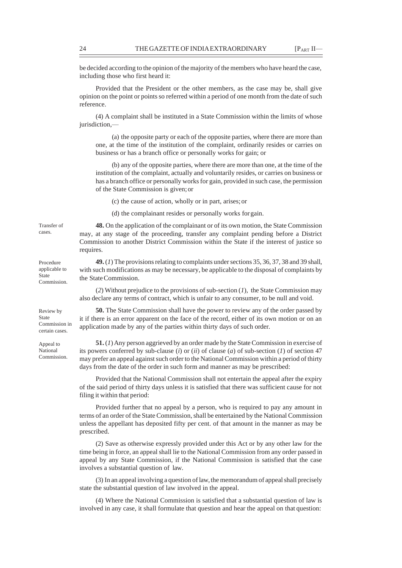be decided according to the opinion of the majority of the members who have heard the case, including those who first heard it:

Provided that the President or the other members, as the case may be, shall give opinion on the point or points so referred within a period of one month from the date of such reference.

(4) A complaint shall be instituted in a State Commission within the limits of whose jurisdiction,—

(a) the opposite party or each of the opposite parties, where there are more than one, at the time of the institution of the complaint, ordinarily resides or carries on business or has a branch office or personally works for gain; or

(b) any of the opposite parties, where there are more than one, at the time of the institution of the complaint, actually and voluntarily resides, or carries on business or has a branch office or personally works for gain, provided in such case, the permission of the State Commission is given;or

(c) the cause of action, wholly or in part, arises;or

(d) the complainant resides or personally works forgain.

**48.** On the application of the complainant or of its own motion, the State Commission may, at any stage of the proceeding, transfer any complaint pending before a District Commission to another District Commission within the State if the interest of justice so requires.

**49.** (1) The provisions relating to complaints under sections 35, 36, 37, 38 and 39 shall, with such modifications as may be necessary, be applicable to the disposal of complaints by the StateCommission.

(*2*) Without prejudice to the provisions of sub-section (*1*), the State Commission may also declare any terms of contract, which is unfair to any consumer, to be null and void.

**50.** The State Commission shall have the power to review any of the order passed by it if there is an error apparent on the face of the record, either of its own motion or on an application made by any of the parties within thirty days of such order.

**51.** (*1*) Any person aggrieved by an order made by the State Commission in exercise of its powers conferred by sub-clause (*i*) or (*ii*) of clause (*a*) of sub-section (*1*) of section 47 may prefer an appeal against such order to the National Commission within a period of thirty days from the date of the order in such form and manner as may be prescribed:

Provided that the National Commission shall not entertain the appeal after the expiry of the said period of thirty days unless it is satisfied that there was sufficient cause for not filing it within that period:

Provided further that no appeal by a person, who is required to pay any amount in terms of an order of the State Commission, shall be entertained by the National Commission unless the appellant has deposited fifty per cent. of that amount in the manner as may be prescribed.

(2) Save as otherwise expressly provided under this Act or by any other law for the time being in force, an appealshall lie to the National Commission from any order passed in appeal by any State Commission, if the National Commission is satisfied that the case involves a substantial question of law.

(3) In an appeal involving a question oflaw,the memorandum of appealshall precisely state the substantial question of law involved in the appeal.

(4) Where the National Commission is satisfied that a substantial question of law is involved in any case, it shall formulate that question and hear the appeal on that question:

Transfer of cases.

Procedure applicable to State Commission.

Review by State Commission in certain cases.

Appeal to National Commission.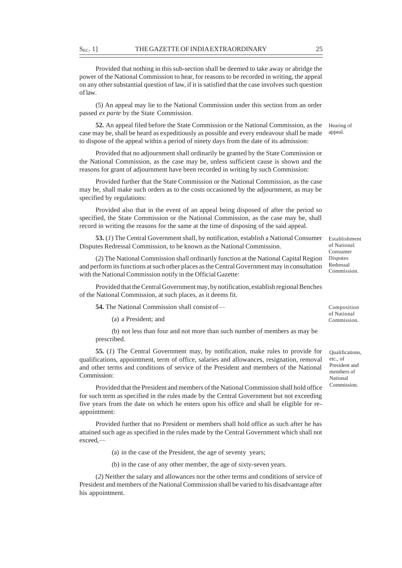## S<sub>EC</sub>. 1] THE GAZETTE OF INDIA EXTRAORDINARY 25

Provided that nothing in this sub-section shall be deemed to take away or abridge the power of the National Commission to hear, for reasons to be recorded in writing, the appeal on any other substantial question of law, if it is satisfied that the case involves such question oflaw.

(5) An appeal may lie to the National Commission under this section from an order passed *ex parte* by the State Commission.

**52.** An appeal filed before the State Commission or the National Commission, as the case may be, shall be heard as expeditiously as possible and every endeavour shall be made to dispose of the appeal within a period of ninety days from the date of its admission: Hearing of appeal.

Provided that no adjournment shall ordinarily be granted by the State Commission or the National Commission, as the case may be, unless sufficient cause is shown and the reasons for grant of adjournment have been recorded in writing by such Commission:

Provided further that the State Commission or the National Commission, as the case may be, shall make such orders as to the costs occasioned by the adjournment, as may be specified by regulations:

Provided also that in the event of an appeal being disposed of after the period so specified, the State Commission or the National Commission, as the case may be, shall record in writing the reasons for the same at the time of disposing of the said appeal.

**53.** (*1*) The Central Government shall, by notification, establish a National Consumer Disputes Redressal Commission, to be known as the National Commission.

(*2*) The National Commission shall ordinarily function at the National Capital Region and perform itsfunctions atsuch other places astheCentral Government may in consultation with the National Commission notify in the Official Gazette:

Provided that the Central Government may, by notification, establish regional Benches of the National Commission, at such places, as it deems fit.

**54.** The National Commission shall consistof—

(a) a President; and

(b) not less than four and not more than such number of members as may be prescribed.

**55.** (*1*) The Central Government may, by notification, make rules to provide for qualifications, appointment, term of office, salaries and allowances, resignation, removal and other terms and conditions of service of the President and members of the National Commission:

Provided that the President and members of the National Commission shall hold office for such term as specified in the rules made by the Central Government but not exceeding five years from the date on which he enters upon his office and shall be eligible for reappointment:

Provided further that no President or members shall hold office as such after he has attained such age as specified in the rules made by the Central Government which shall not exceed,—

- (a) in the case of the President, the age of seventy years;
- (b) in the case of any other member, the age of sixty-seven years.

(*2*) Neither the salary and allowances nor the other terms and conditions of service of President and members of the National Commission shall be varied to his disadvantage after his appointment.

Composition of National Commission.

Establishment of National Consumer **Disputes** Redressal Commission.

Qualifications, etc., of President and members of National Commission.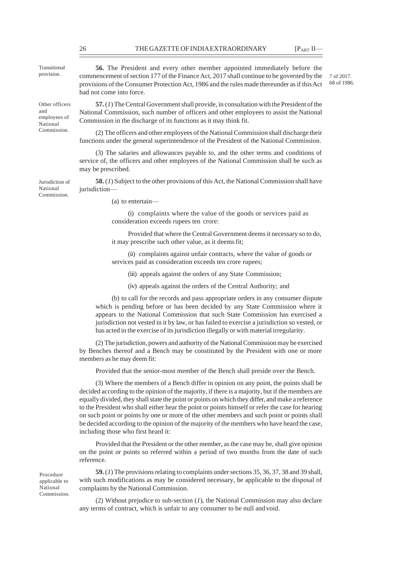**56.** The President and every other member appointed immediately before the commencement ofsection 177 of the FinanceAct, 2017 shall continue to be governed by the provisions of the Consumer Protection Act, 1986 and the rules made thereunder as if this Act had not come into force.

7 of 2017. 68 of 1986.

**57.** (1) The Central Government shall provide, in consultation with the President of the National Commission, such number of officers and other employees to assist the National Commission in the discharge of its functions as it may think fit.

(2) The officers and other employees of the National Commission shall discharge their functions under the general superintendence of the President of the National Commission.

(3) The salaries and allowances payable to, and the other terms and conditions of service of, the officers and other employees of the National Commission shall be such as may be prescribed.

**58.** (*1*) Subject to the other provisions of thisAct, the National Commission shall have jurisdiction—

(a) to entertain—

(i) complaints where the value of the goods or services paid as consideration exceeds rupees ten crore:

Provided that where the Central Government deemsit necessary so to do, it may prescribe such other value, as it deemsfit;

(ii) complaints against unfair contracts, where the value of goods or services paid as consideration exceeds ten crore rupees;

(iii) appeals against the orders of any State Commission;

(iv) appeals against the orders of the Central Authority; and

(b) to call for the records and pass appropriate orders in any consumer dispute which is pending before or has been decided by any State Commission where it appears to the National Commission that such State Commission has exercised a jurisdiction not vested in it by law, or has failed to exercise a jurisdiction so vested, or has acted in the exercise of its jurisdiction illegally or with material irregularity.

(2) The jurisdiction, powers and authority of the NationalCommissionmay be exercised by Benches thereof and a Bench may be constituted by the President with one or more members as he may deem fit:

Provided that the senior-most member of the Bench shall preside over the Bench.

(3) Where the members of a Bench differ in opinion on any point, the points shall be decided according to the opinion of the majority, if there is a majority, but if the members are equally divided, they shall state the point or points on which they differ, and make a reference to the President who shall either hear the point or points himself or refer the case for hearing on such point or points by one or more of the other members and such point or points shall be decided according to the opinion of the majority of the members who have heard the case, including those who first heard it:

Provided that the President or the other member, as the case may be, shall give opinion on the point or points so referred within a period of two months from the date of such reference.

**59.** (1) The provisions relating to complaints under sections 35, 36, 37, 38 and 39 shall, with such modifications as may be considered necessary, be applicable to the disposal of complaints by the National Commission.

(2) Without prejudice to sub-section (*1*), the National Commission may also declare any terms of contract, which is unfair to any consumer to be null and void.

Jurisdiction of National **Commission** 

Transitional provision.

Other officers

and employees of National Commission.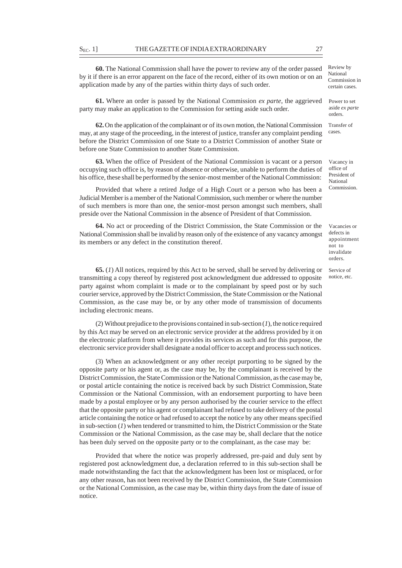**60.** The National Commission shall have the power to review any of the order passed by it if there is an error apparent on the face of the record, either of its own motion or on an application made by any of the parties within thirty days of such order.

**61.** Where an order is passed by the National Commission *ex parte*, the aggrieved party may make an application to the Commission for setting aside such order.

**62.** On the application of the complainant or of its own motion, the National Commission may, at any stage of the proceeding, in the interest of justice, transfer any complaint pending before the District Commission of one State to a District Commission of another State or before one State Commission to another State Commission.

**63.** When the office of President of the National Commission is vacant or a person occupying such office is, by reason of absence or otherwise, unable to perform the duties of his office, these shall be performed by the senior-most member of the National Commission:

Provided that where a retired Judge of a High Court or a person who has been a Judicial Member is a member of the National Commission, such member or where the number of such members is more than one, the senior-most person amongst such members, shall preside over the National Commission in the absence of President of that Commission.

**64.** No act or proceeding of the District Commission, the State Commission or the National Commission shall be invalid by reason only of the existence of any vacancy amongst its members or any defect in the constitution thereof.

**65.** (*1*) All notices, required by this Act to be served, shall be served by delivering or transmitting a copy thereof by registered post acknowledgment due addressed to opposite party against whom complaint is made or to the complainant by speed post or by such courier service, approved by the District Commission, the State Commission or the National Commission, as the case may be, or by any other mode of transmission of documents including electronic means.

(2) Without prejudice to the provisions contained in sub-section  $(1)$ , the notice required by this Act may be served on an electronic service provider at the address provided by it on the electronic platform from where it provides its services as such and for this purpose, the electronic service provider shall designate a nodal officer to accept and process such notices.

(3) When an acknowledgment or any other receipt purporting to be signed by the opposite party or his agent or, as the case may be, by the complainant is received by the District Commission, the State Commission or the National Commission, as the case may be, or postal article containing the notice is received back by such District Commission,State Commission or the National Commission, with an endorsement purporting to have been made by a postal employee or by any person authorised by the courier service to the effect that the opposite party or his agent or complainant had refused to take delivery of the postal article containing the notice or had refused to accept the notice by any other meansspecified in sub-section (*1*) when tendered or transmitted to him, the District Commission or the State Commission or the National Commission, as the case may be, shall declare that the notice has been duly served on the opposite party or to the complainant, as the case may be:

Provided that where the notice was properly addressed, pre-paid and duly sent by registered post acknowledgment due, a declaration referred to in this sub-section shall be made notwithstanding the fact that the acknowledgment has been lost or misplaced, orfor any other reason, has not been received by the District Commission, the State Commission or the National Commission, as the case may be, within thirty days from the date of issue of notice.

Review by National Commission in certain cases.

Power to set aside *ex parte*  orders.

Transfer of cases.

Vacancy in office of President of National Commission.

Vacancies or defects in appointment not to invalidate orders.

Service of notice, etc.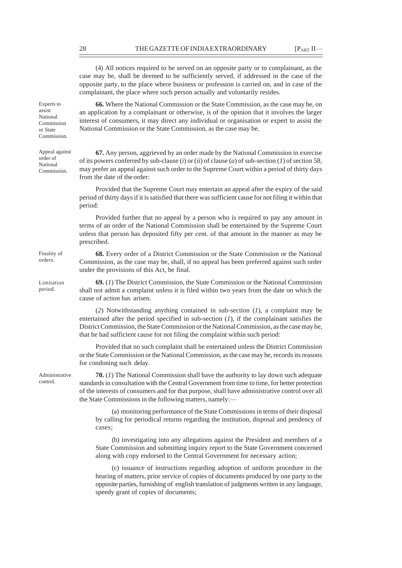(4) All notices required to be served on an opposite party or to complainant, as the case may be, shall be deemed to be sufficiently served, if addressed in the case of the opposite party, to the place where business or profession is carried on, and in case of the complainant, the place where such person actually and voluntarily resides.

**66.** Where the National Commission or the State Commission, as the case may be, on an application by a complainant or otherwise, is of the opinion that it involves the larger interest of consumers, it may direct any individual or organisation or expert to assist the National Commission or the State Commission, as the case may be.

**67.** Any person, aggrieved by an order made by the National Commission in exercise of its powers conferred by sub-clause (*i*) or (*ii*) of clause (*a*) of sub-section (*1*) of section 58, may prefer an appeal against such order to the Supreme Court within a period of thirty days from the date of the order:

Provided that the Supreme Court may entertain an appeal after the expiry of the said period of thirty daysif it issatisfied that there wassufficient cause for not filing it within that period:

Provided further that no appeal by a person who is required to pay any amount in terms of an order of the National Commission shall be entertained by the Supreme Court unless that person has deposited fifty per cent. of that amount in the manner as may be prescribed.

**68.** Every order of a District Commission or the State Commission or the National Commission, as the case may be, shall, if no appeal has been preferred against such order under the provisions of this Act, be final.

**69.** (*1*) The District Commission, the State Commission or the National Commission shall not admit a complaint unless it is filed within two years from the date on which the cause of action has arisen.

(*2*) Notwithstanding anything contained in sub-section (*1*), a complaint may be entertained after the period specified in sub-section (*1*), if the complainant satisfies the District Commission, the State Commission or the National Commission, as the case may be, that he had sufficient cause for not filing the complaint within such period:

Provided that no such complaint shall be entertained unless the District Commission or the State Commission or the National Commission, as the case may be, records its reasons for condoning such delay.

Administrative control.

**70.** (*1*) The National Commission shall have the authority to lay down such adequate standardsin consultation with the Central Governmentfrom time to time, for better protection of the interests of consumers and for that purpose, shall have administrative control over all the State Commissions in the following matters, namely:—

(a) monitoring performance of the State Commissionsin terms of their disposal by calling for periodical returns regarding the institution, disposal and pendency of cases;

(b) investigating into any allegations against the President and members of a State Commission and submitting inquiry report to the State Government concerned along with copy endorsed to the Central Government for necessary action;

(c) issuance of instructions regarding adoption of uniform procedure in the hearing of matters, prior service of copies of documents produced by one party to the opposite parties, furnishing of english translation of judgments written in any language, speedy grant of copies of documents;

Experts to assist National Commission or State Commission.

Appeal against order of National Commission.

Finality of orders.

Limitation period.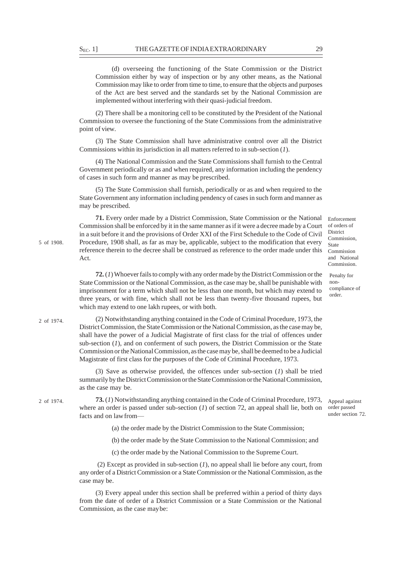(d) overseeing the functioning of the State Commission or the District Commission either by way of inspection or by any other means, as the National Commission may like to order from time to time, to ensure that the objects and purposes of the Act are best served and the standards set by the National Commission are implemented without interfering with their quasi-judicial freedom.

(2) There shall be a monitoring cell to be constituted by the President of the National Commission to oversee the functioning of the State Commissions from the administrative point of view.

(3) The State Commission shall have administrative control over all the District Commissions within its jurisdiction in all matters referred to in sub-section (*1*).

(4) The National Commission and the State Commissions shall furnish to the Central Government periodically or as and when required, any information including the pendency of cases in such form and manner as may be prescribed.

(5) The State Commission shall furnish, periodically or as and when required to the State Government any information including pendency of casesin such form and manner as may be prescribed.

**71.** Every order made by a District Commission, State Commission or the National Commission shall be enforced by it in the same manner asifit were a decree made by aCourt in a suit before it and the provisions of Order XXI of the First Schedule to the Code of Civil Procedure, 1908 shall, as far as may be, applicable, subject to the modification that every reference therein to the decree shall be construed as reference to the order made under this Act.

Enforcement of orders of District Commission, State Commission and National Commission.

Penalty for noncompliance of order.

Appeal against order passed under section 72.

**72.** (1) Whoever fails to comply with any order made by the District Commission or the State Commission or the National Commission, as the case may be, shall be punishable with imprisonment for a term which shall not be less than one month, but which may extend to three years, or with fine, which shall not be less than twenty-five thousand rupees, but which may extend to one lakh rupees, or with both.

(2) Notwithstanding anything contained in the Code of Criminal Procedure, 1973, the DistrictCommission, the StateCommission orthe NationalCommission, asthe casemay be, shall have the power of a Judicial Magistrate of first class for the trial of offences under sub-section (*1*), and on conferment of such powers, the District Commission or the State Commission or the National Commission, as the case may be, shall be deemed to be a Judicial Magistrate of first class for the purposes of the Code of Criminal Procedure, 1973.

(3) Save as otherwise provided, the offences under sub-section (*1*) shall be tried summarily by the District Commission or the State Commission or the National Commission, as the case may be.

2 of 1974.

5 of 1908.

2 of 1974.

**73.** (*1*) Notwithstanding anything contained in the Code of Criminal Procedure, 1973, where an order is passed under sub-section  $(1)$  of section 72, an appeal shall lie, both on facts and on lawfrom—

(a) the order made by the District Commission to the State Commission;

(b) the order made by the State Commission to the National Commission; and

(c) the order made by the National Commission to the Supreme Court.

(2) Except as provided in sub-section (*1*), no appeal shall lie before any court, from any order of a District Commission or a State Commission or the National Commission, asthe case may be.

(3) Every appeal under this section shall be preferred within a period of thirty days from the date of order of a District Commission or a State Commission or the National Commission, as the case maybe: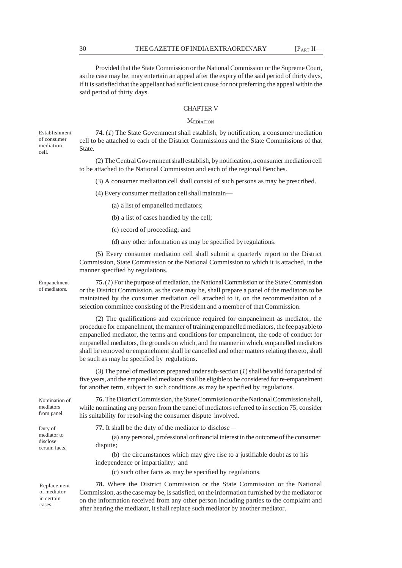Provided that the State Commission or the National Commission or the Supreme Court, asthe case may be, may entertain an appeal after the expiry of the said period of thirty days, if it issatisfied that the appellant had sufficient cause for not preferring the appeal within the said period of thirty days.

## CHAPTER V

#### **MEDIATION**

Establishment of consumer mediation cell.

**74.** (*1*) The State Government shall establish, by notification, a consumer mediation cell to be attached to each of the District Commissions and the State Commissions of that State.

(2) TheCentral Governmentshall establish, by notification, a consumer mediation cell to be attached to the National Commission and each of the regional Benches.

(3) A consumer mediation cell shall consist of such persons as may be prescribed.

(4) Every consumer mediation cellshall maintain—

(a) a list of empanelled mediators;

(b) a list of cases handled by the cell;

(c) record of proceeding; and

(d) any other information as may be specified by regulations.

(5) Every consumer mediation cell shall submit a quarterly report to the District Commission, State Commission or the National Commission to which it is attached, in the manner specified by regulations.

Empanelment of mediators.

**75.** (1) For the purpose of mediation, the National Commission or the State Commission or the District Commission, as the case may be, shall prepare a panel of the mediators to be maintained by the consumer mediation cell attached to it, on the recommendation of a selection committee consisting of the President and a member of that Commission.

(2) The qualifications and experience required for empanelment as mediator, the procedure for empanelment, themanner oftraining empanelled mediators, the fee payable to empanelled mediator, the terms and conditions for empanelment, the code of conduct for empanelled mediators, the grounds on which, and the manner in which, empanelled mediators shall be removed or empanelment shall be cancelled and other matters relating thereto, shall be such as may be specified by regulations.

(3) The panel of mediators prepared under sub-section  $(I)$  shall be valid for a period of five years, and the empanelled mediators shall be eligible to be considered for re-empanelment for another term, subject to such conditions as may be specified by regulations.

Nomination of mediators from panel.

Duty of mediator to disclose certain facts.

**76.** The District Commission, the State Commission or the National Commission shall, while nominating any person from the panel of mediators referred to in section 75, consider his suitability for resolving the consumer dispute involved.

**77.** It shall be the duty of the mediator to disclose—

(a) any personal, professional orfinancial interest in the outcome ofthe consumer dispute;

(b) the circumstances which may give rise to a justifiable doubt as to his independence or impartiality; and

(c) such other facts as may be specified by regulations.

Replacement of mediator in certain cases.

**78.** Where the District Commission or the State Commission or the National Commission, asthe case may be, issatisfied, on the information furnished by the mediator or on the information received from any other person including parties to the complaint and after hearing the mediator, it shall replace such mediator by another mediator.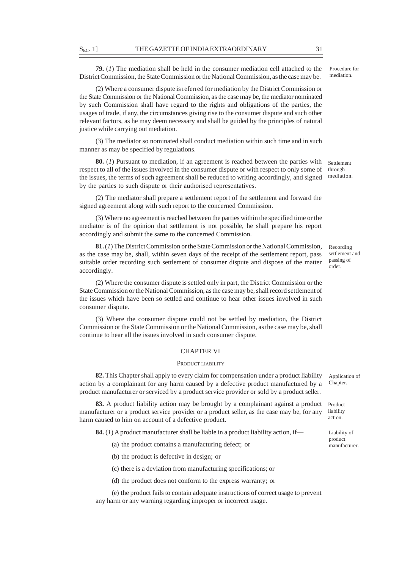**79.** (*1*) The mediation shall be held in the consumer mediation cell attached to the District Commission, the State Commission or the National Commission, as the case may be.

(2) Where a consumer dispute isreferred for mediation by the District Commission or the State Commission or the National Commission, asthe case may be, the mediator nominated by such Commission shall have regard to the rights and obligations of the parties, the usages of trade, if any, the circumstances giving rise to the consumer dispute and such other relevant factors, as he may deem necessary and shall be guided by the principles of natural justice while carrying out mediation.

(3) The mediator so nominated shall conduct mediation within such time and in such manner as may be specified by regulations.

**80.** (*1*) Pursuant to mediation, if an agreement is reached between the parties with respect to all of the issues involved in the consumer dispute or with respect to only some of the issues, the terms of such agreement shall be reduced to writing accordingly, and signed by the parties to such dispute or their authorised representatives. Settlement through mediation.

(2) The mediator shall prepare a settlement report of the settlement and forward the signed agreement along with such report to the concerned Commission.

(3) Where no agreement isreached between the parties within the specified time or the mediator is of the opinion that settlement is not possible, he shall prepare his report accordingly and submit the same to the concerned Commission.

81. (1) The District Commission or the State Commission or the National Commission, as the case may be, shall, within seven days of the receipt of the settlement report, pass suitable order recording such settlement of consumer dispute and dispose of the matter accordingly.

(2) Where the consumer dispute is settled only in part, the District Commission or the StateCommission orthe NationalCommission, asthe casemay be,shallrecord settlement of the issues which have been so settled and continue to hear other issues involved in such consumer dispute.

(3) Where the consumer dispute could not be settled by mediation, the District Commission or the State Commission or the National Commission, as the case may be, shall continue to hear all the issues involved in such consumer dispute.

# CHAPTER VI

#### PRODUCT LIABILITY

82. This Chapter shall apply to every claim for compensation under a product liability action by a complainant for any harm caused by a defective product manufactured by a product manufacturer or serviced by a product service provider or sold by a product seller.

**83.** A product liability action may be brought by a complainant against a product manufacturer or a product service provider or a product seller, as the case may be, for any harm caused to him on account of a defective product.

**84.** (*1*) Aproduct manufacturer shall be liable in a product liability action, if—

- (a) the product contains a manufacturing defect; or
- (b) the product is defective in design; or
- (c) there is a deviation from manufacturing specifications; or

(d) the product does not conform to the express warranty; or

(e) the product fails to contain adequate instructions of correct usage to prevent any harm or any warning regarding improper or incorrect usage.

Recording settlement and passing of order.

Procedure for mediation.

Application of Chapter.

Product liability action.

Liability of product manufacturer.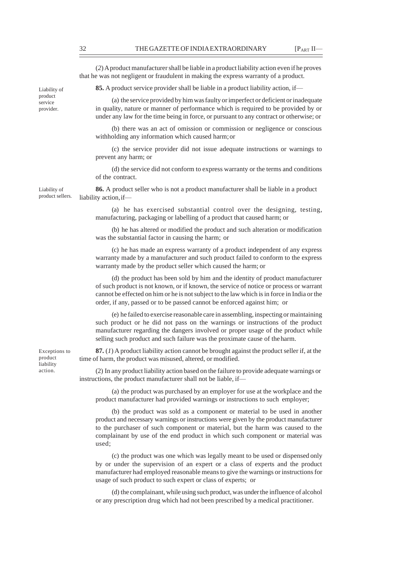(*2*)Aproductmanufacturershall be liable in a product liability action even if he proves that he was not negligent or fraudulent in making the express warranty of a product.

**85.** A product service provider shall be liable in a product liability action, if—

(a) the service provided by himwasfaulty orimperfect or deficient orinadequate in quality, nature or manner of performance which is required to be provided by or under any law for the time being in force, or pursuant to any contract or otherwise; or

(b) there was an act of omission or commission or negligence or conscious withholding any information which caused harm;or

(c) the service provider did not issue adequate instructions or warnings to prevent any harm; or

(d) the service did not conform to express warranty or the terms and conditions of the contract.

Liability of product sellers.

Liability of product service provider.

> **86.** A product seller who is not a product manufacturer shall be liable in a product liability action,if—

(a) he has exercised substantial control over the designing, testing, manufacturing, packaging or labelling of a product that caused harm; or

(b) he has altered or modified the product and such alteration or modification was the substantial factor in causing the harm; or

(c) he has made an express warranty of a product independent of any express warranty made by a manufacturer and such product failed to conform to the express warranty made by the product seller which caused the harm; or

(d) the product has been sold by him and the identity of product manufacturer of such product is not known, or if known, the service of notice or process or warrant cannot be effected on him or he is not subject to the law which is in force in India or the order, if any, passed or to be passed cannot be enforced against him; or

(e) he failed to exercise reasonable care in assembling, inspecting ormaintaining such product or he did not pass on the warnings or instructions of the product manufacturer regarding the dangers involved or proper usage of the product while selling such product and such failure was the proximate cause of theharm.

**87.** (*1*) A product liability action cannot be brought against the product seller if, at the time of harm, the product was misused, altered, or modified.

(2) In any product liability action based on the failure to provide adequate warnings or instructions, the product manufacturer shall not be liable, if—

(a) the product was purchased by an employer for use at the workplace and the product manufacturer had provided warnings or instructions to such employer;

(b) the product was sold as a component or material to be used in another product and necessary warnings or instructions were given by the product manufacturer to the purchaser of such component or material, but the harm was caused to the complainant by use of the end product in which such component or material was used;

(c) the product was one which was legally meant to be used or dispensed only by or under the supervision of an expert or a class of experts and the product manufacturer had employed reasonable meansto give the warnings or instructionsfor usage of such product to such expert or class of experts; or

(d) the complainant, while using such product,was underthe influence of alcohol or any prescription drug which had not been prescribed by a medical practitioner.

Exceptions to product liability action.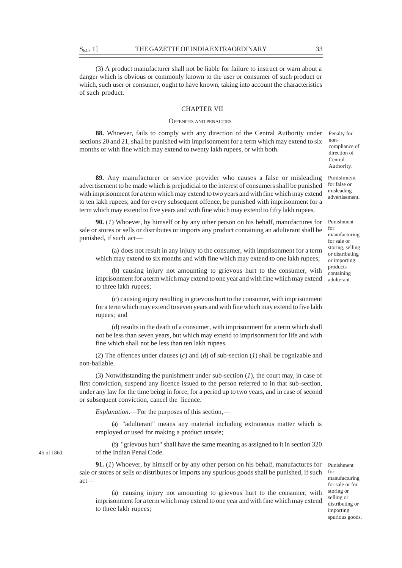45 of 1860.

(3) A product manufacturer shall not be liable for failure to instruct or warn about a danger which is obvious or commonly known to the user or consumer of such product or which, such user or consumer, ought to have known, taking into account the characteristics of such product.

# CHAPTER VII

### OFFENCES AND PENALTIES

**88.** Whoever, fails to comply with any direction of the Central Authority under sections 20 and 21, shall be punished with imprisonment for a term which may extend to six months or with fine which may extend to twenty lakh rupees, or with both.

**89.** Any manufacturer or service provider who causes a false or misleading advertisement to be made which is prejudicial to the interest of consumers shall be punished with imprisonment for a term which may extend to two years and with fine which may extend to ten lakh rupees; and for every subsequent offence, be punished with imprisonment for a term which may extend to five years and with fine which may extend to fifty lakh rupees.

**90.** (*1*) Whoever, by himself or by any other person on his behalf, manufactures for sale or stores or sells or distributes or imports any product containing an adulterant shall be punished, if such act—

(a) does not result in any injury to the consumer, with imprisonment for a term which may extend to six months and with fine which may extend to one lakh rupees;

(b) causing injury not amounting to grievous hurt to the consumer, with imprisonment for a term which may extend to one year and with fine which may extend to three lakh rupees;

(c) causing injury resulting in grievous hurt to the consumer, with imprisonment for a term which may extend to seven years and with fine which may extend to five lakh rupees; and

(d) results in the death of a consumer, with imprisonment for a term which shall not be less than seven years, but which may extend to imprisonment for life and with fine which shall not be less than ten lakh rupees.

(2) The offences under clauses (*c*) and (*d*) of sub-section (*1*) shall be cognizable and non-bailable.

(3) Notwithstanding the punishment under sub-section (*1*), the court may, in case of first conviction, suspend any licence issued to the person referred to in that sub-section, under any law for the time being in force, for a period up to two years, and in case of second or subsequent conviction, cancel the licence.

*Explanation*.—For the purposes of this section,—

(a) "adulterant" means any material including extraneous matter which is employed or used for making a product unsafe;

(b) "grievous hurt" shall have the same meaning as assigned to it in section 320 of the Indian PenalCode.

**91.** (*1*) Whoever, by himself or by any other person on his behalf, manufactures for sale or stores or sells or distributes or imports any spurious goods shall be punished, if such act—

manufacturing for sale or for storing or selling or distributing or importing spurious goods.

Punishment for

(a) causing injury not amounting to grievous hurt to the consumer, with imprisonment for a term which may extend to one year and with fine which may extend to three lakh rupees;

compliance of direction of Central Authority. Punishment

Penalty for non-

for false or misleading advertisement.

Punishment for manufacturing for sale or storing, selling or distributing or importing products containing adulterant.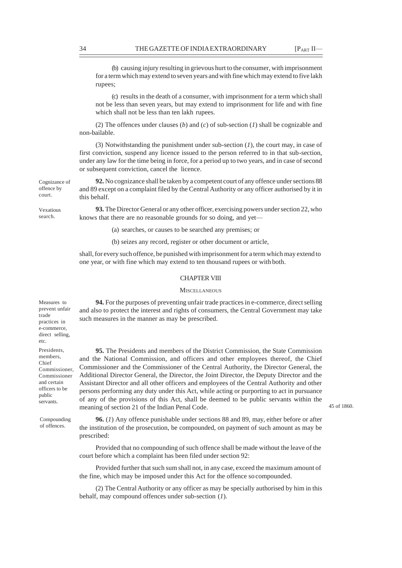(b) causing injury resulting in grievous hurt to the consumer, with imprisonment for a term which may extend to seven years and with fine which may extend to five lakh rupees;

(c) resultsin the death of a consumer, with imprisonment for a term which shall not be less than seven years, but may extend to imprisonment for life and with fine which shall not be less than ten lakh rupees.

(2) The offences under clauses (*b*) and (*c*) of sub-section (*1*) shall be cognizable and non-bailable.

(3) Notwithstanding the punishment under sub-section (*1*), the court may, in case of first conviction, suspend any licence issued to the person referred to in that sub-section, under any law for the time being in force, for a period up to two years, and in case of second or subsequent conviction, cancel the licence.

Cognizance of **92.** No cognizance shall be taken by a competent court of any offence under sections 88 and 89 except on a complaint filed by the Central Authority or any officer authorised by it in this behalf.

> **93.** The Director General or any other officer, exercising powers under section 22, who knows that there are no reasonable grounds for so doing, and yet—

> > (a) searches, or causes to be searched any premises; or

(b) seizes any record, register or other document or article,

shall, for every such offence, be punished with imprisonment for a term which may extend to one year, or with fine which may extend to ten thousand rupees or with both.

#### CHAPTER VIII

#### **MISCELLANEOUS**

**94.** For the purposes of preventing unfair trade practices in e-commerce, direct selling and also to protect the interest and rights of consumers, the Central Government may take such measures in the manner as may be prescribed.

**95.** The Presidents and members of the District Commission, the State Commission and the National Commission, and officers and other employees thereof, the Chief Commissioner and the Commissioner of the Central Authority, the Director General, the Additional Director General, the Director, the Joint Director, the Deputy Director and the Assistant Director and all other officers and employees of the Central Authority and other persons performing any duty under this Act, while acting or purporting to act in pursuance of any of the provisions of this Act, shall be deemed to be public servants within the meaning of section 21 of the Indian Penal Code.

45 of 1860.

**96.** (*1*) Any offence punishable under sections 88 and 89, may, either before or after the institution of the prosecution, be compounded, on payment of such amount as may be prescribed:

Provided that no compounding of such offence shall be made without the leave of the court before which a complaint has been filed under section 92:

Provided further that such sum shall not, in any case, exceed the maximum amount of the fine, which may be imposed under this Act for the offence so compounded.

(2) The Central Authority or any officer as may be specially authorised by him in this behalf, may compound offences under sub-section (*1*).

Measures to prevent unfair trade practices in e-commerce, direct selling, etc.

offence by court.

Vexatious search.

Presidents, members, Chief Commissioner, Commissioner and certain officers to be public servants.

Compounding of offences.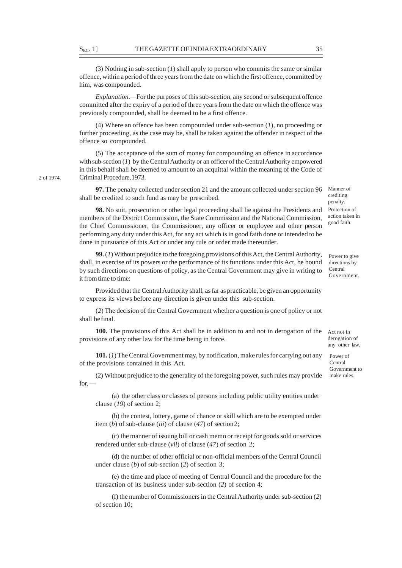(3) Nothing in sub-section (*1*) shall apply to person who commits the same or similar offence, within a period of three years from the date on which the first offence, committed by him, was compounded.

*Explanation*.—For the purposes of this sub-section, any second or subsequent offence committed after the expiry of a period of three years from the date on which the offence was previously compounded, shall be deemed to be a first offence.

(4) Where an offence has been compounded under sub-section (*1*), no proceeding or further proceeding, as the case may be, shall be taken against the offender in respect of the offence so compounded.

(5) The acceptance of the sum of money for compounding an offence in accordance with sub-section (1) by the Central Authority or an officer of the Central Authority empowered in this behalf shall be deemed to amount to an acquittal within the meaning of the Code of Criminal Procedure,1973.

**97.** The penalty collected under section 21 and the amount collected under section 96 shall be credited to such fund as may be prescribed.

**98.** No suit, prosecution or other legal proceeding shall lie against the Presidents and members of the District Commission, the State Commission and the National Commission, the Chief Commissioner, the Commissioner, any officer or employee and other person performing any duty under thisAct, for any act which isin good faith done or intended to be done in pursuance of this Act or under any rule or order made thereunder.

**99.** (1) Without prejudice to the foregoing provisions of this Act, the Central Authority, shall, in exercise of its powers or the performance of its functions under this Act, be bound by such directions on questions of policy, as the Central Government may give in writing to itfromtime to time:

Provided that the Central Authority shall, as far as practicable, be given an opportunity to express its views before any direction is given under this sub-section.

(*2*) The decision of the Central Government whether a question is one of policy or not shall be final.

**100.** The provisions of this Act shall be in addition to and not in derogation of the provisions of any other law for the time being in force.

101. (1) The Central Government may, by notification, make rules for carrying out any of the provisions contained in this Act.

(2) Without prejudice to the generality of the foregoing power, such rules may provide  $for,$ 

(a) the other class or classes of persons including public utility entities under clause (*19*) of section 2;

(b) the contest, lottery, game of chance or skill which are to be exempted under item (*b*) of sub-clause (*iii*) of clause (*47*) of section2;

(c) the manner of issuing bill or cash memo or receipt for goods sold orservices rendered under sub-clause (*vii*) of clause (*47*) of section 2;

(d) the number of other official or non-official members of the Central Council under clause (*b*) of sub-section (*2*) of section 3;

(e) the time and place of meeting of Central Council and the procedure for the transaction of its business under sub-section (*2*) of section 4;

(f) the number of Commissionersin the CentralAuthority undersub-section (*2*) of section 10;

Manner of crediting penalty. Protection of action taken in good faith.

Power to give directions by Central Government.

Act not in derogation of any other law.

Power of Central Government to make rules.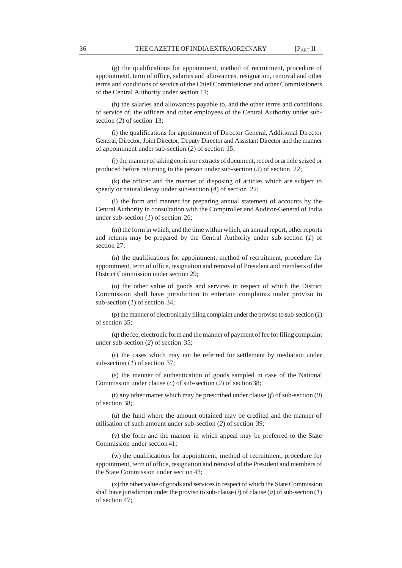(g) the qualifications for appointment, method of recruitment, procedure of appointment, term of office, salaries and allowances, resignation, removal and other terms and conditions of service of the Chief Commissioner and other Commissioners of the Central Authority under section 11;

(h) the salaries and allowances payable to, and the other terms and conditions of service of, the officers and other employees of the Central Authority under subsection (*2*) of section 13;

(i) the qualifications for appointment of Director General, Additional Director General, Director,Joint Director, Deputy Director and Assistant Director and the manner of appointment under sub-section (*2*) of section 15;

(j) themanner oftaking copies or extracts of document,record or article seized or produced before returning to the person under sub-section (*3*) of section 22;

(k) the officer and the manner of disposing of articles which are subject to speedy or natural decay under sub-section (*4*) of section 22;

(l) the form and manner for preparing annual statement of accounts by the Central Authority in consultation with the Comptroller and Auditor-General of India under sub-section (*1*) of section 26;

(m) the form in which, and the time within which, an annual report, other reports and returns may be prepared by the Central Authority under sub-section (*1*) of section 27;

(n) the qualifications for appointment, method of recruitment, procedure for appointment, term of office, resignation and removal of President and members of the District Commission under section 29;

(o) the other value of goods and services in respect of which the District Commission shall have jurisdiction to entertain complaints under proviso to sub-section (*1*) of section 34;

(p) the manner of electronically filing complaint under the proviso to sub-section  $(1)$ of section 35;

(q) the fee, electronic formand themanner of payment offee forfiling complaint under sub-section (*2*) of section 35;

(r) the cases which may not be referred for settlement by mediation under sub-section (*1*) of section 37;

(s) the manner of authentication of goods sampled in case of the National Commission under clause (*c*) of sub-section (2) of section 38;

(t) any other matter which may be prescribed under clause (*f*) of sub-section (*9*) of section 38;

(u) the fund where the amount obtained may be credited and the manner of utilisation of such amount under sub-section (*2*) of section 39;

(v) the form and the manner in which appeal may be preferred to the State Commission under section 41;

(w) the qualifications for appointment, method of recruitment, procedure for appointment, term of office, resignation and removal of the President and members of the State Commission under section 43;

(x)the other value of goods and servicesin respect of which the StateCommission shall have jurisdiction under the proviso to sub-clause  $(i)$  of clause  $(a)$  of sub-section  $(1)$ of section 47;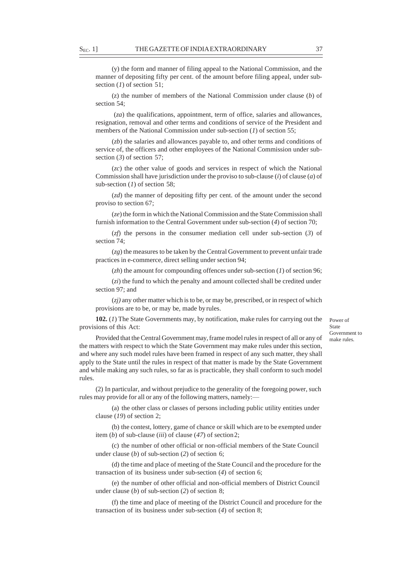(y) the form and manner of filing appeal to the National Commission, and the manner of depositing fifty per cent. of the amount before filing appeal, under subsection (*1*) of section 51;

(z) the number of members of the National Commission under clause (*b*) of section 54;

(*za*) the qualifications, appointment, term of office, salaries and allowances, resignation, removal and other terms and conditions of service of the President and members of the National Commission under sub-section (*1*) of section 55;

(*zb*) the salaries and allowances payable to, and other terms and conditions of service of, the officers and other employees of the National Commission under subsection (*3*) of section 57;

(*zc*) the other value of goods and services in respect of which the National Commission shall have jurisdiction under the proviso to sub-clause (*i*) of clause (*a*) of sub-section (*1*) of section 58;

(*zd*) the manner of depositing fifty per cent. of the amount under the second proviso to section 67;

(*ze*) the form in which the National Commission and the State Commission shall furnish information to the Central Government under sub-section (*4*) of section 70;

(*zf*) the persons in the consumer mediation cell under sub-section (*3*) of section 74;

(*zg*) the measures to be taken by the Central Government to prevent unfair trade practices in e-commerce, direct selling under section 94;

(*zh*) the amount for compounding offences under sub-section (*1*) of section 96;

(*zi*) the fund to which the penalty and amount collected shall be credited under section 97; and

(*zj)* any other matter which isto be, or may be, prescribed, or in respect of which provisions are to be, or may be, made by rules.

**102.** (*1*) The State Governments may, by notification, make rules for carrying out the provisions of this Act:

Power of State Government to make rules.

Provided that the Central Government may, frame model rules in respect of all or any of the matters with respect to which the State Government may make rules under this section, and where any such model rules have been framed in respect of any such matter, they shall apply to the State until the rules in respect of that matter is made by the State Government and while making any such rules, so far as is practicable, they shall conform to such model rules.

(2) In particular, and without prejudice to the generality of the foregoing power, such rules may provide for all or any of the following matters, namely:—

(a) the other class or classes of persons including public utility entities under clause (*19*) of section 2;

(b) the contest, lottery, game of chance or skill which are to be exempted under item (*b*) of sub-clause (*iii*) of clause (*47*) of section2;

(c) the number of other official or non-official members of the State Council under clause (*b*) of sub-section (*2*) of section 6;

(d) the time and place of meeting of the State Council and the procedure for the transaction of its business under sub-section (*4*) of section 6;

(e) the number of other official and non-official members of District Council under clause (*b*) of sub-section (*2*) of section 8;

(f) the time and place of meeting of the District Council and procedure for the transaction of its business under sub-section (*4*) of section 8;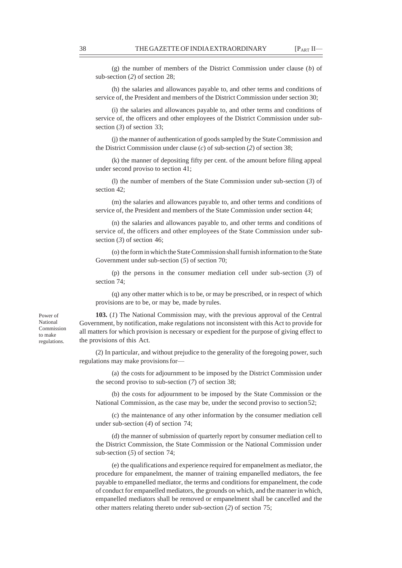(g) the number of members of the District Commission under clause (*b*) of sub-section (*2*) of section 28;

(h) the salaries and allowances payable to, and other terms and conditions of service of, the President and members of the District Commission under section 30;

(i) the salaries and allowances payable to, and other terms and conditions of service of, the officers and other employees of the District Commission under subsection (*3*) of section 33;

(j) the manner of authentication of goodssampled by the State Commission and the District Commission under clause (*c*) of sub-section (*2*) of section 38;

(k) the manner of depositing fifty per cent. of the amount before filing appeal under second proviso to section 41;

(l) the number of members of the State Commission under sub-section (*3*) of section 42;

(m) the salaries and allowances payable to, and other terms and conditions of service of, the President and members of the State Commission under section 44;

(n) the salaries and allowances payable to, and other terms and conditions of service of, the officers and other employees of the State Commission under subsection (*3*) of section 46;

(o) the forminwhich theStateCommission shallfurnish information to theState Government under sub-section (*5*) of section 70;

(p) the persons in the consumer mediation cell under sub-section (*3*) of section 74;

(q) any other matter which is to be, or may be prescribed, or in respect of which provisions are to be, or may be, made by rules.

**103.** (*1*) The National Commission may, with the previous approval of the Central Government, by notification, make regulations not inconsistent with this Act to provide for all matters for which provision is necessary or expedient for the purpose of giving effect to the provisions of this Act.

(2) In particular, and without prejudice to the generality of the foregoing power, such regulations may make provisions for-

(a) the costs for adjournment to be imposed by the District Commission under the second proviso to sub-section (*7*) of section 38;

(b) the costs for adjournment to be imposed by the State Commission or the National Commission, as the case may be, under the second proviso to section 52;

(c) the maintenance of any other information by the consumer mediation cell under sub-section (*4*) of section 74;

(d) the manner of submission of quarterly report by consumer mediation cell to the District Commission, the State Commission or the National Commission under sub-section (*5*) of section 74;

(e) the qualifications and experience required for empanelment as mediator, the procedure for empanelment, the manner of training empanelled mediators, the fee payable to empanelled mediator, the terms and conditions for empanelment, the code of conduct for empanelled mediators, the grounds on which, and the manner in which, empanelled mediators shall be removed or empanelment shall be cancelled and the other matters relating thereto under sub-section (*2*) of section 75;

Power of National Commission to make regulations.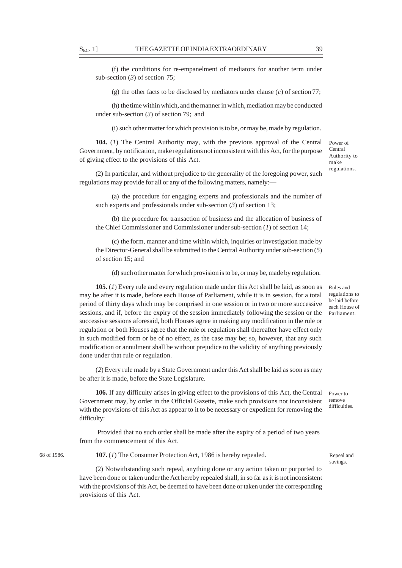(f) the conditions for re-empanelment of mediators for another term under sub-section (*3*) of section 75;

(g) the other facts to be disclosed by mediators under clause (*c*) of section 77;

(h) the time within which, and the manner in which, mediation may be conducted under sub-section (*3*) of section 79; and

(i) such other matter for which provision is to be, or may be, made by regulation.

**104.** (*1*) The Central Authority may, with the previous approval of the Central Government, by notification, make regulations not inconsistent with this Act, for the purpose of giving effect to the provisions of this Act.

Central Authority to make regulations.

Rules and regulations to be laid before each House of Parliament.

Power of

(2) In particular, and without prejudice to the generality of the foregoing power, such regulations may provide for all or any of the following matters, namely:—

(a) the procedure for engaging experts and professionals and the number of such experts and professionals under sub-section (*3*) of section 13;

(b) the procedure for transaction of business and the allocation of business of the Chief Commissioner and Commissioner under sub-section (*1*) of section 14;

(c) the form, manner and time within which, inquiries or investigation made by the Director-General shall be submitted to the Central Authority under sub-section (5) of section 15; and

(d) such other matter for which provision is to be, or may be, made by regulation.

**105.** (*1*) Every rule and every regulation made under this Act shall be laid, as soon as may be after it is made, before each House of Parliament, while it is in session, for a total period of thirty days which may be comprised in one session or in two or more successive sessions, and if, before the expiry of the session immediately following the session or the successive sessions aforesaid, both Houses agree in making any modification in the rule or regulation or both Houses agree that the rule or regulation shall thereafter have effect only in such modified form or be of no effect, as the case may be; so, however, that any such modification or annulment shall be without prejudice to the validity of anything previously done under that rule or regulation.

(*2*) Every rule made by a State Government under thisActshall be laid assoon as may be after it is made, before the State Legislature.

**106.** If any difficulty arises in giving effect to the provisions of this Act, the Central Government may, by order in the Official Gazette, make such provisions not inconsistent with the provisions of this Act as appear to it to be necessary or expedient for removing the difficulty: Power to remove difficulties.

Provided that no such order shall be made after the expiry of a period of two years from the commencement of this Act.

68 of 1986.

**107.** (*1*) The Consumer Protection Act, 1986 is hereby repealed.

Repeal and savings.

(2) Notwithstanding such repeal, anything done or any action taken or purported to have been done or taken under the Act hereby repealed shall, in so far asit is not inconsistent with the provisions of this Act, be deemed to have been done or taken under the corresponding provisions of this Act.